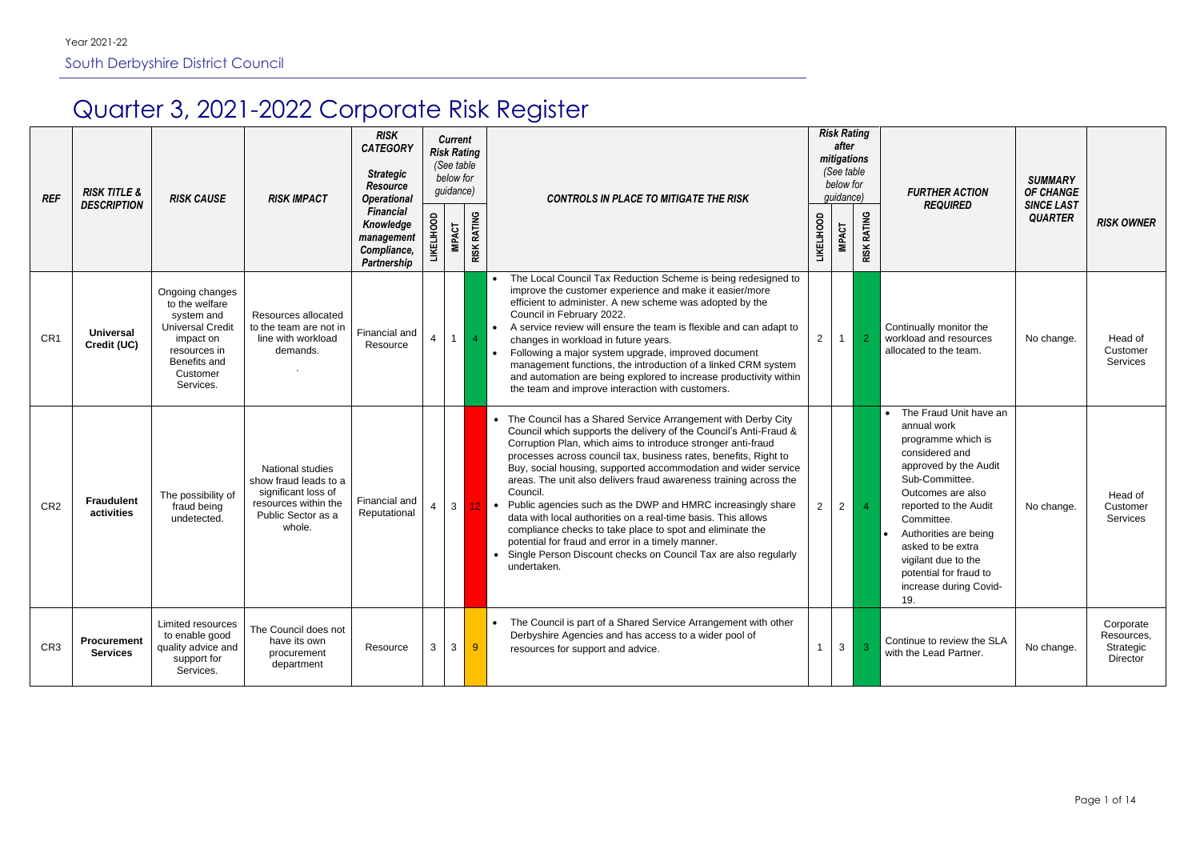# Quarter 3, 2021-2022 Corporate Risk Register

| <b>REF</b>      | <b>RISK TITLE &amp;</b><br><b>DESCRIPTION</b> | <b>RISK CAUSE</b>                                                                                                                                | <b>RISK IMPACT</b>                                                                                                              | <b>RISK</b><br><b>CATEGORY</b><br><b>Strategic</b><br><b>Resource</b><br><b>Operational</b><br><b>Financial</b><br>Knowledge<br>management<br>Compliance, |   | <b>Current</b><br>(See table<br>below for<br>guidance)<br><b>IMPACT</b> | <b>Risk Rating</b><br><b>RISK RATING</b> | <b>CONTROLS IN PLACE TO MITIGATE THE RISK</b>                                                                                                                                                                                                                                                                                                                                                                                                                                                                                                                                                                                                                                                                                                                               | <b>LIKELIHOOD</b> | <b>Risk Rating</b><br>after<br>mitigations<br>(See table<br>below for<br>guidance)<br><b>IMPACT</b> | <b>RISK RATING</b> | <b>FURTHER ACTION</b><br><b>REQUIRED</b>                                                                                                                                                                                                                                                                                          | <b>SUMMARY</b><br><b>OF CHANGE</b><br><b>SINCE LAST</b><br><b>QUARTER</b> | <b>RISK OWNER</b>                                |
|-----------------|-----------------------------------------------|--------------------------------------------------------------------------------------------------------------------------------------------------|---------------------------------------------------------------------------------------------------------------------------------|-----------------------------------------------------------------------------------------------------------------------------------------------------------|---|-------------------------------------------------------------------------|------------------------------------------|-----------------------------------------------------------------------------------------------------------------------------------------------------------------------------------------------------------------------------------------------------------------------------------------------------------------------------------------------------------------------------------------------------------------------------------------------------------------------------------------------------------------------------------------------------------------------------------------------------------------------------------------------------------------------------------------------------------------------------------------------------------------------------|-------------------|-----------------------------------------------------------------------------------------------------|--------------------|-----------------------------------------------------------------------------------------------------------------------------------------------------------------------------------------------------------------------------------------------------------------------------------------------------------------------------------|---------------------------------------------------------------------------|--------------------------------------------------|
| CR <sub>1</sub> | <b>Universal</b><br>Credit (UC)               | Ongoing changes<br>to the welfare<br>system and<br><b>Universal Credit</b><br>impact on<br>resources in<br>Benefits and<br>Customer<br>Services. | Resources allocated<br>to the team are not in<br>line with workload<br>demands.                                                 | <b>Partnership</b><br>Financial and<br>Resource                                                                                                           |   | $-1$                                                                    | $\overline{4}$                           | The Local Council Tax Reduction Scheme is being redesigned to<br>improve the customer experience and make it easier/more<br>efficient to administer. A new scheme was adopted by the<br>Council in February 2022.<br>A service review will ensure the team is flexible and can adapt to<br>changes in workload in future years.<br>Following a major system upgrade, improved document<br>management functions, the introduction of a linked CRM system<br>and automation are being explored to increase productivity within<br>the team and improve interaction with customers.                                                                                                                                                                                            | $\overline{2}$    | $\mathbf{1}$                                                                                        | $\overline{2}$     | Continually monitor the<br>workload and resources<br>allocated to the team.                                                                                                                                                                                                                                                       | No change.                                                                | Head of<br>Customer<br>Services                  |
| CR <sub>2</sub> | <b>Fraudulent</b><br>activities               | The possibility of<br>fraud being<br>undetected.                                                                                                 | <b>National studies</b><br>show fraud leads to a<br>significant loss of<br>resources within the<br>Public Sector as a<br>whole. | Financial and<br>Reputational                                                                                                                             |   | $\mathbf{3}$                                                            | 12 <sub>1</sub>                          | • The Council has a Shared Service Arrangement with Derby City<br>Council which supports the delivery of the Council's Anti-Fraud &<br>Corruption Plan, which aims to introduce stronger anti-fraud<br>processes across council tax, business rates, benefits, Right to<br>Buy, social housing, supported accommodation and wider service<br>areas. The unit also delivers fraud awareness training across the<br>Council.<br>Public agencies such as the DWP and HMRC increasingly share<br>$\bullet$<br>data with local authorities on a real-time basis. This allows<br>compliance checks to take place to spot and eliminate the<br>potential for fraud and error in a timely manner.<br>Single Person Discount checks on Council Tax are also regularly<br>undertaken. | $\mathbf{2}$      | $\overline{2}$                                                                                      | $\overline{4}$     | The Fraud Unit have an<br>$\bullet$<br>annual work<br>programme which is<br>considered and<br>approved by the Audit<br>Sub-Committee.<br>Outcomes are also<br>reported to the Audit<br>Committee.<br>Authorities are being<br>asked to be extra<br>vigilant due to the<br>potential for fraud to<br>increase during Covid-<br>19. | No change.                                                                | Head of<br>Customer<br>Services                  |
| CR <sub>3</sub> | <b>Procurement</b><br><b>Services</b>         | Limited resources<br>to enable good<br>quality advice and<br>support for<br>Services.                                                            | The Council does not<br>have its own<br>procurement<br>department                                                               | Resource                                                                                                                                                  | 3 | $\mathbf{3}$                                                            | 9                                        | The Council is part of a Shared Service Arrangement with other<br>Derbyshire Agencies and has access to a wider pool of<br>resources for support and advice.                                                                                                                                                                                                                                                                                                                                                                                                                                                                                                                                                                                                                |                   | 3 <sup>1</sup>                                                                                      | -3                 | Continue to review the SLA<br>with the Lead Partner.                                                                                                                                                                                                                                                                              | No change.                                                                | Corporate<br>Resources,<br>Strategic<br>Director |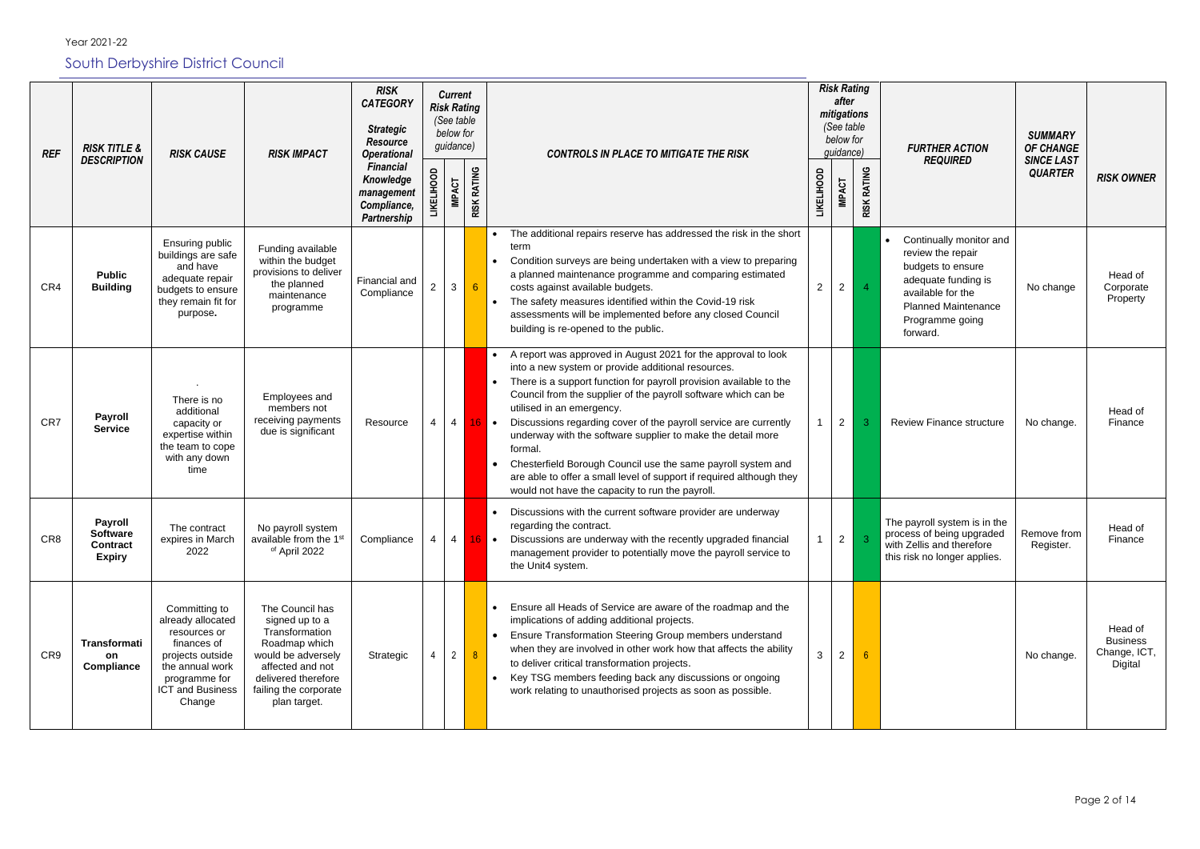| <b>REF</b> | <b>RISK TITLE &amp;</b><br><b>DESCRIPTION</b>                         | <b>RISK CAUSE</b>                                                                                                                                       | <b>RISK IMPACT</b>                                                                                                                                                             | <b>RISK</b><br><b>CATEGORY</b><br><b>Strategic</b><br><b>Resource</b><br><b>Operational</b> |         | <b>Current</b><br><b>Risk Rating</b><br>(See table<br>below for<br>guidance) |                    |                | <b>CONTROLS IN PLACE TO MITIGATE THE RISK</b>                                                                                                                                                                                                                                                                                                                                                                                                                                                                                                                                                                                     | <b>Risk Rating</b><br>after<br>mitigations<br>(See table<br>below for<br>guidance) |                    | <b>FURTHER ACTION</b><br><b>REQUIRED</b>                                                                                                                                   | <b>SUMMARY</b><br><b>OF CHANGE</b><br><b>SINCE LAST</b> |                                                       |
|------------|-----------------------------------------------------------------------|---------------------------------------------------------------------------------------------------------------------------------------------------------|--------------------------------------------------------------------------------------------------------------------------------------------------------------------------------|---------------------------------------------------------------------------------------------|---------|------------------------------------------------------------------------------|--------------------|----------------|-----------------------------------------------------------------------------------------------------------------------------------------------------------------------------------------------------------------------------------------------------------------------------------------------------------------------------------------------------------------------------------------------------------------------------------------------------------------------------------------------------------------------------------------------------------------------------------------------------------------------------------|------------------------------------------------------------------------------------|--------------------|----------------------------------------------------------------------------------------------------------------------------------------------------------------------------|---------------------------------------------------------|-------------------------------------------------------|
|            |                                                                       |                                                                                                                                                         |                                                                                                                                                                                | <b>Financial</b><br>Knowledge<br>management<br>Compliance,<br>Partnership                   | ELIHOOD | <b>IMPACT</b>                                                                | <b>RISK RATING</b> |                |                                                                                                                                                                                                                                                                                                                                                                                                                                                                                                                                                                                                                                   | <b>LIKELIHOOD</b><br><b>IMPACT</b>                                                 | <b>RISK RATING</b> |                                                                                                                                                                            | <b>QUARTER</b>                                          | <b>RISK OWNER</b>                                     |
| CR4        | <b>Public</b><br><b>Building</b>                                      | Ensuring public<br>buildings are safe<br>and have<br>adequate repair<br>budgets to ensure<br>they remain fit for<br>purpose.                            | Funding available<br>within the budget<br>provisions to deliver<br>the planned<br>maintenance<br>programme                                                                     | Financial and<br>Compliance                                                                 |         | $\mathbf{3}$                                                                 | $6^{\circ}$        |                | The additional repairs reserve has addressed the risk in the short<br>term<br>Condition surveys are being undertaken with a view to preparing<br>a planned maintenance programme and comparing estimated<br>costs against available budgets.<br>The safety measures identified within the Covid-19 risk<br>assessments will be implemented before any closed Council<br>building is re-opened to the public.                                                                                                                                                                                                                      | $\overline{2}$<br>$2^{\circ}$                                                      | $\overline{4}$     | Continually monitor and<br>review the repair<br>budgets to ensure<br>adequate funding is<br>available for the<br><b>Planned Maintenance</b><br>Programme going<br>forward. | No change                                               | Head of<br>Corporate<br>Property                      |
| CR7        | <b>Payroll</b><br>Service                                             | There is no<br>additional<br>capacity or<br>expertise within<br>the team to cope<br>with any down<br>time                                               | Employees and<br>members not<br>receiving payments<br>due is significant                                                                                                       | Resource                                                                                    |         | $\overline{4}$                                                               |                    | $16$ $\bullet$ | A report was approved in August 2021 for the approval to look<br>into a new system or provide additional resources.<br>There is a support function for payroll provision available to the<br>Council from the supplier of the payroll software which can be<br>utilised in an emergency.<br>Discussions regarding cover of the payroll service are currently<br>underway with the software supplier to make the detail more<br>formal.<br>Chesterfield Borough Council use the same payroll system and<br>are able to offer a small level of support if required although they<br>would not have the capacity to run the payroll. | $\overline{2}$                                                                     | З                  | <b>Review Finance structure</b>                                                                                                                                            | No change.                                              | Head of<br>Finance                                    |
| CR8        | <b>Payroll</b><br><b>Software</b><br><b>Contract</b><br><b>Expiry</b> | The contract<br>expires in March<br>2022                                                                                                                | No payroll system<br>available from the 1 <sup>st</sup><br>of April 2022                                                                                                       | Compliance                                                                                  |         | $\overline{4}$                                                               |                    |                | Discussions with the current software provider are underway<br>regarding the contract.<br>Discussions are underway with the recently upgraded financial<br>management provider to potentially move the payroll service to<br>the Unit4 system.                                                                                                                                                                                                                                                                                                                                                                                    | $2^{\circ}$                                                                        | 3                  | The payroll system is in the<br>process of being upgraded<br>with Zellis and therefore<br>this risk no longer applies.                                                     | Remove from<br>Register.                                | Head of<br>Finance                                    |
| CR9        | Transformati<br>on<br>Compliance                                      | Committing to<br>already allocated<br>resources or<br>finances of<br>projects outside<br>the annual work<br>programme for<br>ICT and Business<br>Change | The Council has<br>signed up to a<br>Transformation<br>Roadmap which<br>would be adversely<br>affected and not<br>delivered therefore<br>failing the corporate<br>plan target. | Strategic                                                                                   |         | $\overline{2}$                                                               | 8                  |                | Ensure all Heads of Service are aware of the roadmap and the<br>implications of adding additional projects.<br>Ensure Transformation Steering Group members understand<br>when they are involved in other work how that affects the ability<br>to deliver critical transformation projects.<br>Key TSG members feeding back any discussions or ongoing<br>work relating to unauthorised projects as soon as possible.                                                                                                                                                                                                             | 3                                                                                  |                    |                                                                                                                                                                            | No change.                                              | Head of<br><b>Business</b><br>Change, ICT,<br>Digital |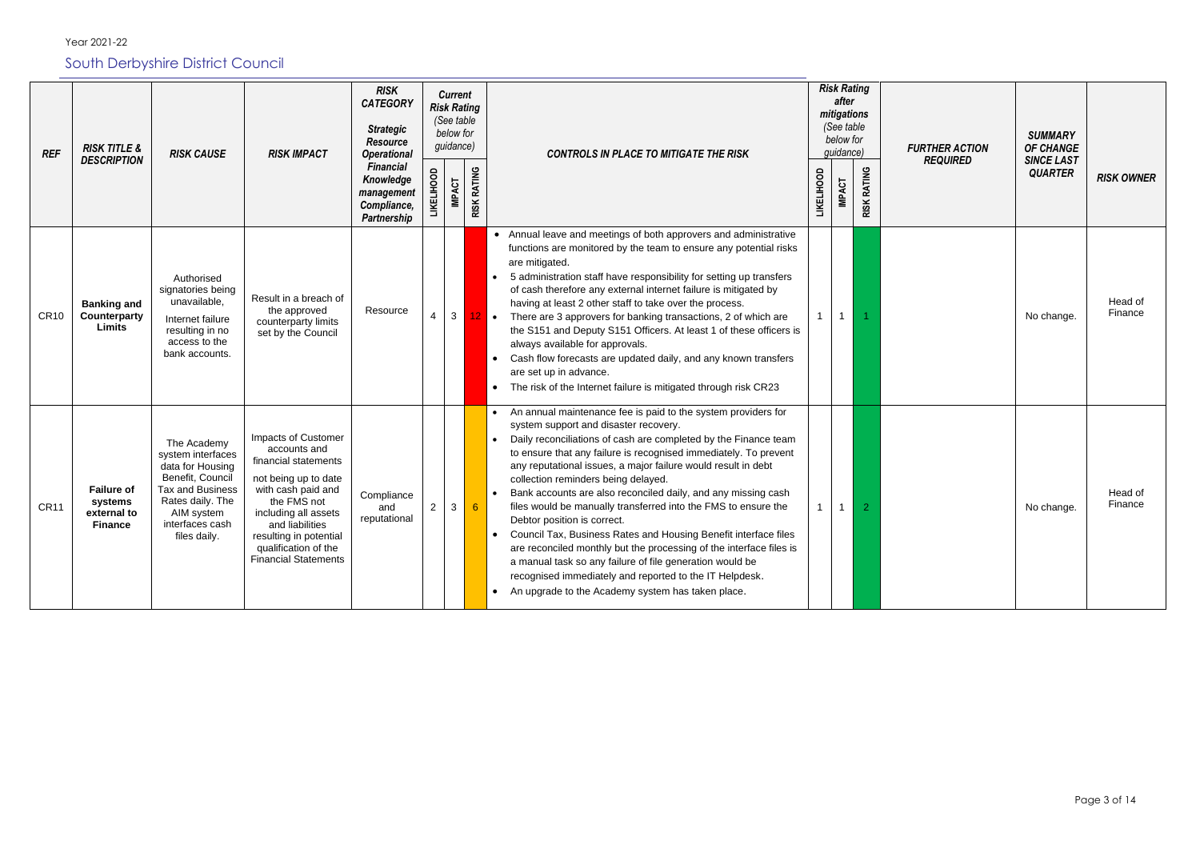| <b>REF</b>  | <b>RISK TITLE &amp;</b>                                       | <b>RISK CAUSE</b>                                                                                                                                                        | <b>RISK IMPACT</b>                                                                                                                                                                                                                                   | <b>RISK</b><br><b>CATEGORY</b><br><b>Strategic</b><br><b>Resource</b><br><b>Operational</b> |                   | <b>Current</b><br><b>Risk Rating</b><br>(See table<br>below for<br>guidance) |                    | <b>CONTROLS IN PLACE TO MITIGATE THE RISK</b>                                                                                                                                                                                                                                                                                                                                                                                                                                                                                                                                                                                                                                                                                                                                                                                                              |                   | <b>Risk Rating</b><br>after<br>mitigations<br>(See table<br>below for<br>guidance) |                    |
|-------------|---------------------------------------------------------------|--------------------------------------------------------------------------------------------------------------------------------------------------------------------------|------------------------------------------------------------------------------------------------------------------------------------------------------------------------------------------------------------------------------------------------------|---------------------------------------------------------------------------------------------|-------------------|------------------------------------------------------------------------------|--------------------|------------------------------------------------------------------------------------------------------------------------------------------------------------------------------------------------------------------------------------------------------------------------------------------------------------------------------------------------------------------------------------------------------------------------------------------------------------------------------------------------------------------------------------------------------------------------------------------------------------------------------------------------------------------------------------------------------------------------------------------------------------------------------------------------------------------------------------------------------------|-------------------|------------------------------------------------------------------------------------|--------------------|
|             | <b>DESCRIPTION</b>                                            |                                                                                                                                                                          |                                                                                                                                                                                                                                                      | <b>Financial</b><br>Knowledge<br>management<br>Compliance,<br><b>Partnership</b>            | <b>LIKELIHOOD</b> | <b>IMPACT</b>                                                                | <b>RISK RATING</b> |                                                                                                                                                                                                                                                                                                                                                                                                                                                                                                                                                                                                                                                                                                                                                                                                                                                            | <b>LIKELIHOOD</b> | <b>IMPACT</b>                                                                      | <b>RISK RATING</b> |
| <b>CR10</b> | <b>Banking and</b><br>Counterparty<br><b>Limits</b>           | Authorised<br>signatories being<br>unavailable,<br>Internet failure<br>resulting in no<br>access to the<br>bank accounts.                                                | Result in a breach of<br>the approved<br>counterparty limits<br>set by the Council                                                                                                                                                                   | Resource                                                                                    | $\overline{4}$    | 3                                                                            | $12$ .             | • Annual leave and meetings of both approvers and administrative<br>functions are monitored by the team to ensure any potential risks<br>are mitigated.<br>5 administration staff have responsibility for setting up transfers<br>of cash therefore any external internet failure is mitigated by<br>having at least 2 other staff to take over the process.<br>There are 3 approvers for banking transactions, 2 of which are<br>the S151 and Deputy S151 Officers. At least 1 of these officers is<br>always available for approvals.<br>Cash flow forecasts are updated daily, and any known transfers<br>are set up in advance.<br>The risk of the Internet failure is mitigated through risk CR23                                                                                                                                                     |                   |                                                                                    |                    |
| <b>CR11</b> | <b>Failure of</b><br>systems<br>external to<br><b>Finance</b> | The Academy<br>system interfaces<br>data for Housing<br>Benefit, Council<br><b>Tax and Business</b><br>Rates daily. The<br>AIM system<br>interfaces cash<br>files daily. | Impacts of Customer<br>accounts and<br>financial statements<br>not being up to date<br>with cash paid and<br>the FMS not<br>including all assets<br>and liabilities<br>resulting in potential<br>qualification of the<br><b>Financial Statements</b> | Compliance<br>and<br>reputational                                                           | $\overline{2}$    | 3                                                                            | $6\phantom{1}6$    | An annual maintenance fee is paid to the system providers for<br>system support and disaster recovery.<br>Daily reconciliations of cash are completed by the Finance team<br>to ensure that any failure is recognised immediately. To prevent<br>any reputational issues, a major failure would result in debt<br>collection reminders being delayed.<br>Bank accounts are also reconciled daily, and any missing cash<br>files would be manually transferred into the FMS to ensure the<br>Debtor position is correct.<br>Council Tax, Business Rates and Housing Benefit interface files<br>are reconciled monthly but the processing of the interface files is<br>a manual task so any failure of file generation would be<br>recognised immediately and reported to the IT Helpdesk.<br>An upgrade to the Academy system has taken place.<br>$\bullet$ |                   |                                                                                    | 2                  |

|            | <b>Risk Rating</b><br>after<br>mitigations<br>(See table<br>below for<br>guidance) |                    | <b>FURTHER ACTION</b><br><b>REQUIRED</b> | <b>SUMMARY</b><br>OF CHANGE<br><b>SINCE LAST</b> |                    |
|------------|------------------------------------------------------------------------------------|--------------------|------------------------------------------|--------------------------------------------------|--------------------|
| LIKELIHOOD | <b>IMPACT</b>                                                                      | <b>RISK RATING</b> |                                          | <b>QUARTER</b>                                   | <b>RISK OWNER</b>  |
| 1          | $\mathbf 1$                                                                        | 1                  |                                          | No change.                                       | Head of<br>Finance |
| 1          | 1                                                                                  | $\overline{a}$     |                                          | No change.                                       | Head of<br>Finance |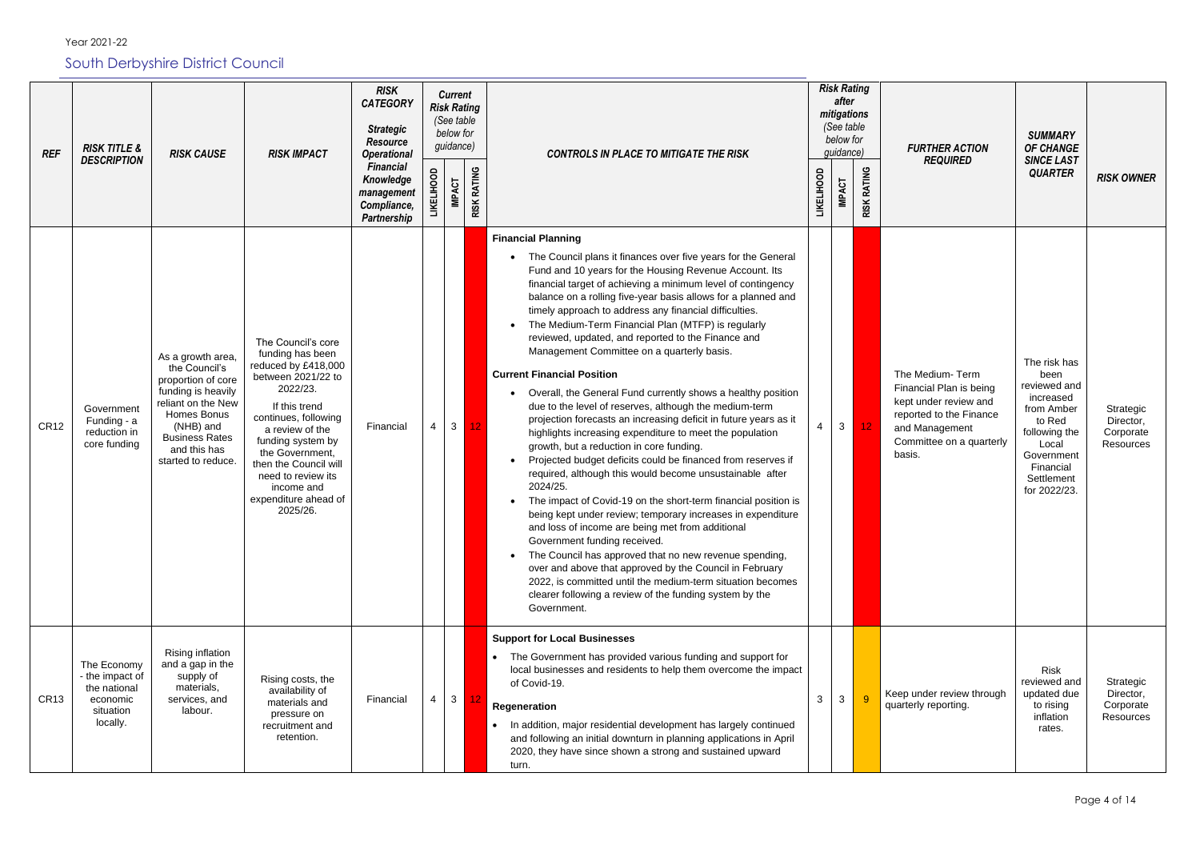Year 2021-22

### South Derbyshire District Council

| <b>REF</b>  | <b>RISK TITLE &amp;</b><br><b>DESCRIPTION</b>                                       | <b>RISK CAUSE</b>                                                                                                                                                                               | <b>RISK IMPACT</b>                                                                                                                                                                                                                                                                                   | <b>RISK</b><br><b>CATEGORY</b><br><b>Strategic</b><br><b>Resource</b><br><b>Operational</b><br><b>Financial</b><br>Knowledge<br>management | LIHOOD |                | <b>Current</b><br><b>Risk Rating</b><br>(See table<br>below for<br>guidance)<br><b>CONTROLS IN PLACE TO MITIGATE THE RISK</b><br><b>RISK RATING</b><br><b>IMPACT</b> |                                                                                                                                                                                                                                                                                                                                                                                                                                                                                                                                                                                                                                                                                                                                                                                                                                                                                                                                                                                                                                                                                                                                                                                                                                                                                                                                                                                                                                                                                |                   |               | <b>Risk Rating</b><br>after<br>mitigations<br>(See table<br>below for<br>guidance)<br><b>RATING</b> | <b>FURTHER ACTION</b><br><b>REQUIRED</b>                                                                                                               | <b>SUMMARY</b><br><b>OF CHANGE</b><br><b>SINCE LAST</b><br><b>QUARTER</b>                                                                                    | <b>RISK OWNER</b>                                |
|-------------|-------------------------------------------------------------------------------------|-------------------------------------------------------------------------------------------------------------------------------------------------------------------------------------------------|------------------------------------------------------------------------------------------------------------------------------------------------------------------------------------------------------------------------------------------------------------------------------------------------------|--------------------------------------------------------------------------------------------------------------------------------------------|--------|----------------|----------------------------------------------------------------------------------------------------------------------------------------------------------------------|--------------------------------------------------------------------------------------------------------------------------------------------------------------------------------------------------------------------------------------------------------------------------------------------------------------------------------------------------------------------------------------------------------------------------------------------------------------------------------------------------------------------------------------------------------------------------------------------------------------------------------------------------------------------------------------------------------------------------------------------------------------------------------------------------------------------------------------------------------------------------------------------------------------------------------------------------------------------------------------------------------------------------------------------------------------------------------------------------------------------------------------------------------------------------------------------------------------------------------------------------------------------------------------------------------------------------------------------------------------------------------------------------------------------------------------------------------------------------------|-------------------|---------------|-----------------------------------------------------------------------------------------------------|--------------------------------------------------------------------------------------------------------------------------------------------------------|--------------------------------------------------------------------------------------------------------------------------------------------------------------|--------------------------------------------------|
|             |                                                                                     |                                                                                                                                                                                                 |                                                                                                                                                                                                                                                                                                      | Compliance,<br>Partnership                                                                                                                 |        |                |                                                                                                                                                                      |                                                                                                                                                                                                                                                                                                                                                                                                                                                                                                                                                                                                                                                                                                                                                                                                                                                                                                                                                                                                                                                                                                                                                                                                                                                                                                                                                                                                                                                                                | <b>LIKELIHOOD</b> | <b>IMPACT</b> | <b>RISK</b>                                                                                         |                                                                                                                                                        |                                                                                                                                                              |                                                  |
| <b>CR12</b> | Government<br>Funding - a<br>reduction in<br>core funding                           | As a growth area,<br>the Council's<br>proportion of core<br>funding is heavily<br>reliant on the New<br>Homes Bonus<br>(NHB) and<br><b>Business Rates</b><br>and this has<br>started to reduce. | The Council's core<br>funding has been<br>reduced by £418,000<br>between 2021/22 to<br>2022/23.<br>If this trend<br>continues, following<br>a review of the<br>funding system by<br>the Government,<br>then the Council will<br>need to review its<br>income and<br>expenditure ahead of<br>2025/26. | Financial                                                                                                                                  |        | 3 <sup>1</sup> | 12 <sub>1</sub>                                                                                                                                                      | <b>Financial Planning</b><br>The Council plans it finances over five years for the General<br>Fund and 10 years for the Housing Revenue Account. Its<br>financial target of achieving a minimum level of contingency<br>balance on a rolling five-year basis allows for a planned and<br>timely approach to address any financial difficulties.<br>The Medium-Term Financial Plan (MTFP) is regularly<br>reviewed, updated, and reported to the Finance and<br>Management Committee on a quarterly basis.<br><b>Current Financial Position</b><br>Overall, the General Fund currently shows a healthy position<br>due to the level of reserves, although the medium-term<br>projection forecasts an increasing deficit in future years as it<br>highlights increasing expenditure to meet the population<br>growth, but a reduction in core funding.<br>Projected budget deficits could be financed from reserves if<br>required, although this would become unsustainable after<br>2024/25.<br>The impact of Covid-19 on the short-term financial position is<br>being kept under review; temporary increases in expenditure<br>and loss of income are being met from additional<br>Government funding received.<br>The Council has approved that no new revenue spending,<br>over and above that approved by the Council in February<br>2022, is committed until the medium-term situation becomes<br>clearer following a review of the funding system by the<br>Government. |                   | $\mathbf{3}$  | 12 <sub>2</sub>                                                                                     | The Medium-Term<br>Financial Plan is being<br>kept under review and<br>reported to the Finance<br>and Management<br>Committee on a quarterly<br>basis. | The risk has<br>been<br>reviewed and<br>increased<br>from Amber<br>to Red<br>following the<br>Local<br>Government<br>Financial<br>Settlement<br>for 2022/23. | Strategic<br>Director,<br>Corporate<br>Resources |
| <b>CR13</b> | The Economy<br>- the impact of<br>the national<br>economic<br>situation<br>locally. | Rising inflation<br>and a gap in the<br>supply of<br>materials,<br>services, and<br>labour.                                                                                                     | Rising costs, the<br>availability of<br>materials and<br>pressure on<br>recruitment and<br>retention.                                                                                                                                                                                                | Financial                                                                                                                                  | 4      | 3 <sup>1</sup> | $-12$                                                                                                                                                                | <b>Support for Local Businesses</b><br>The Government has provided various funding and support for<br>local businesses and residents to help them overcome the impact<br>of Covid-19.<br>Regeneration<br>In addition, major residential development has largely continued<br>and following an initial downturn in planning applications in April<br>2020, they have since shown a strong and sustained upward<br>turn.                                                                                                                                                                                                                                                                                                                                                                                                                                                                                                                                                                                                                                                                                                                                                                                                                                                                                                                                                                                                                                                         | 3                 | $\mathbf{3}$  | $9^{\circ}$                                                                                         | Keep under review through<br>quarterly reporting.                                                                                                      | <b>Risk</b><br>reviewed and<br>updated due<br>to rising<br>inflation<br>rates.                                                                               | Strategic<br>Director,<br>Corporate<br>Resources |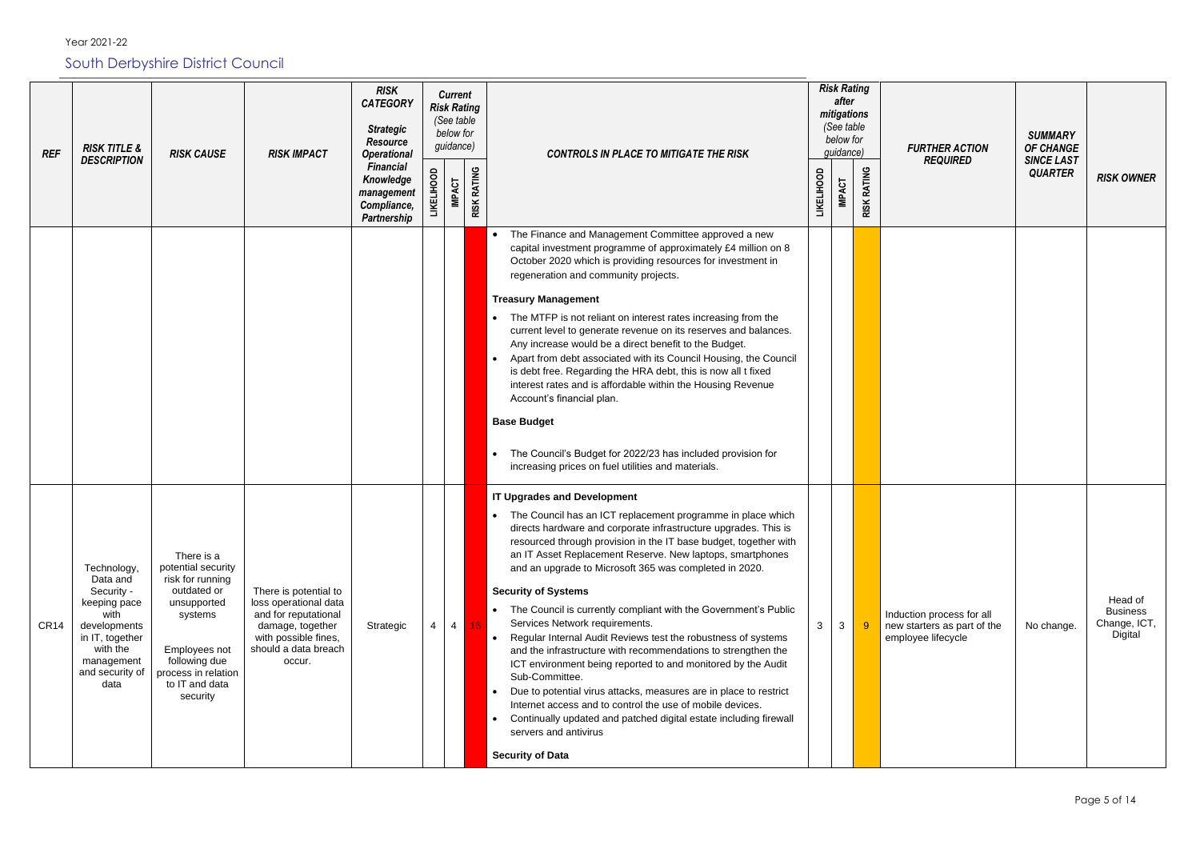Year 2021-22

South Derbyshire District Council

| <b>REF</b>       | <b>RISK TITLE &amp;</b><br><b>DESCRIPTION</b>                                                                                                         | <b>RISK CAUSE</b>                                                                                                                                                                    | <b>RISK IMPACT</b>                                                                                                                                   | <b>RISK</b><br><b>CATEGORY</b><br><b>Strategic</b><br><b>Resource</b><br><b>Operational</b> |                   | <b>Current</b><br><b>Risk Rating</b><br>(See table<br>below for<br>guidance) |                    | <b>CONTROLS IN PLACE TO MITIGATE THE RISK</b>                                                                                                                                                                                                                                                                                                                                                                                                                                                                                                                                                                                                                                                                                                                                                                                                                                                                                                                                                                                         |                   | <b>Risk Rating</b><br>after<br>mitigations<br>(See table<br>below for<br>guidance) |                              |                         |
|------------------|-------------------------------------------------------------------------------------------------------------------------------------------------------|--------------------------------------------------------------------------------------------------------------------------------------------------------------------------------------|------------------------------------------------------------------------------------------------------------------------------------------------------|---------------------------------------------------------------------------------------------|-------------------|------------------------------------------------------------------------------|--------------------|---------------------------------------------------------------------------------------------------------------------------------------------------------------------------------------------------------------------------------------------------------------------------------------------------------------------------------------------------------------------------------------------------------------------------------------------------------------------------------------------------------------------------------------------------------------------------------------------------------------------------------------------------------------------------------------------------------------------------------------------------------------------------------------------------------------------------------------------------------------------------------------------------------------------------------------------------------------------------------------------------------------------------------------|-------------------|------------------------------------------------------------------------------------|------------------------------|-------------------------|
|                  |                                                                                                                                                       |                                                                                                                                                                                      |                                                                                                                                                      | <b>Financial</b><br>Knowledge<br>management<br>Compliance,<br><b>Partnership</b>            | <b>LIKELIHOOD</b> | <b>IMPACT</b>                                                                | <b>RISK RATING</b> |                                                                                                                                                                                                                                                                                                                                                                                                                                                                                                                                                                                                                                                                                                                                                                                                                                                                                                                                                                                                                                       | <b>LIKELIHOOD</b> | <b>IMPACT</b>                                                                      | <b>RATING</b><br><b>RISK</b> |                         |
|                  |                                                                                                                                                       |                                                                                                                                                                                      |                                                                                                                                                      |                                                                                             |                   |                                                                              |                    | The Finance and Management Committee approved a new<br>$\bullet$<br>capital investment programme of approximately £4 million on 8<br>October 2020 which is providing resources for investment in<br>regeneration and community projects.<br><b>Treasury Management</b><br>The MTFP is not reliant on interest rates increasing from the<br>current level to generate revenue on its reserves and balances.<br>Any increase would be a direct benefit to the Budget.<br>Apart from debt associated with its Council Housing, the Council<br>$\bullet$<br>is debt free. Regarding the HRA debt, this is now all t fixed<br>interest rates and is affordable within the Housing Revenue<br>Account's financial plan.<br><b>Base Budget</b><br>The Council's Budget for 2022/23 has included provision for<br>$\bullet$<br>increasing prices on fuel utilities and materials.                                                                                                                                                             |                   |                                                                                    |                              |                         |
| CR <sub>14</sub> | Technology,<br>Data and<br>Security -<br>keeping pace<br>with<br>developments<br>in IT, together<br>with the<br>management<br>and security of<br>data | There is a<br>potential security<br>risk for running<br>outdated or<br>unsupported<br>systems<br>Employees not<br>following due<br>process in relation<br>to IT and data<br>security | There is potential to<br>loss operational data<br>and for reputational<br>damage, together<br>with possible fines,<br>should a data breach<br>occur. | Strategic                                                                                   | 4                 | $\overline{4}$                                                               | 16                 | <b>IT Upgrades and Development</b><br>The Council has an ICT replacement programme in place which<br>$\bullet$<br>directs hardware and corporate infrastructure upgrades. This is<br>resourced through provision in the IT base budget, together with<br>an IT Asset Replacement Reserve. New laptops, smartphones<br>and an upgrade to Microsoft 365 was completed in 2020.<br><b>Security of Systems</b><br>The Council is currently compliant with the Government's Public<br>Services Network requirements.<br>Regular Internal Audit Reviews test the robustness of systems<br>$\bullet$<br>and the infrastructure with recommendations to strengthen the<br>ICT environment being reported to and monitored by the Audit<br>Sub-Committee.<br>Due to potential virus attacks, measures are in place to restrict<br>$\bullet$<br>Internet access and to control the use of mobile devices.<br>Continually updated and patched digital estate including firewall<br>$\bullet$<br>servers and antivirus<br><b>Security of Data</b> | 3                 | $\mathbf{3}$                                                                       | $\overline{9}$               | Induc<br>new s<br>emplo |

| isk Rating<br>after<br>nitigations<br>(See table<br>below for<br>guidance) |                    | <b>FURTHER ACTION</b>                                                          | <b>SUMMARY</b><br>OF CHANGE         |                                                       |
|----------------------------------------------------------------------------|--------------------|--------------------------------------------------------------------------------|-------------------------------------|-------------------------------------------------------|
| <b>IMPACT</b>                                                              | <b>RISK RATING</b> | <b>REQUIRED</b>                                                                | <b>SINCE LAST</b><br><b>QUARTER</b> | <b>RISK OWNER</b>                                     |
|                                                                            |                    |                                                                                |                                     |                                                       |
|                                                                            |                    |                                                                                |                                     |                                                       |
|                                                                            |                    |                                                                                |                                     |                                                       |
|                                                                            |                    |                                                                                |                                     |                                                       |
| 3                                                                          | 9                  | Induction process for all<br>new starters as part of the<br>employee lifecycle | No change.                          | Head of<br><b>Business</b><br>Change, ICT,<br>Digital |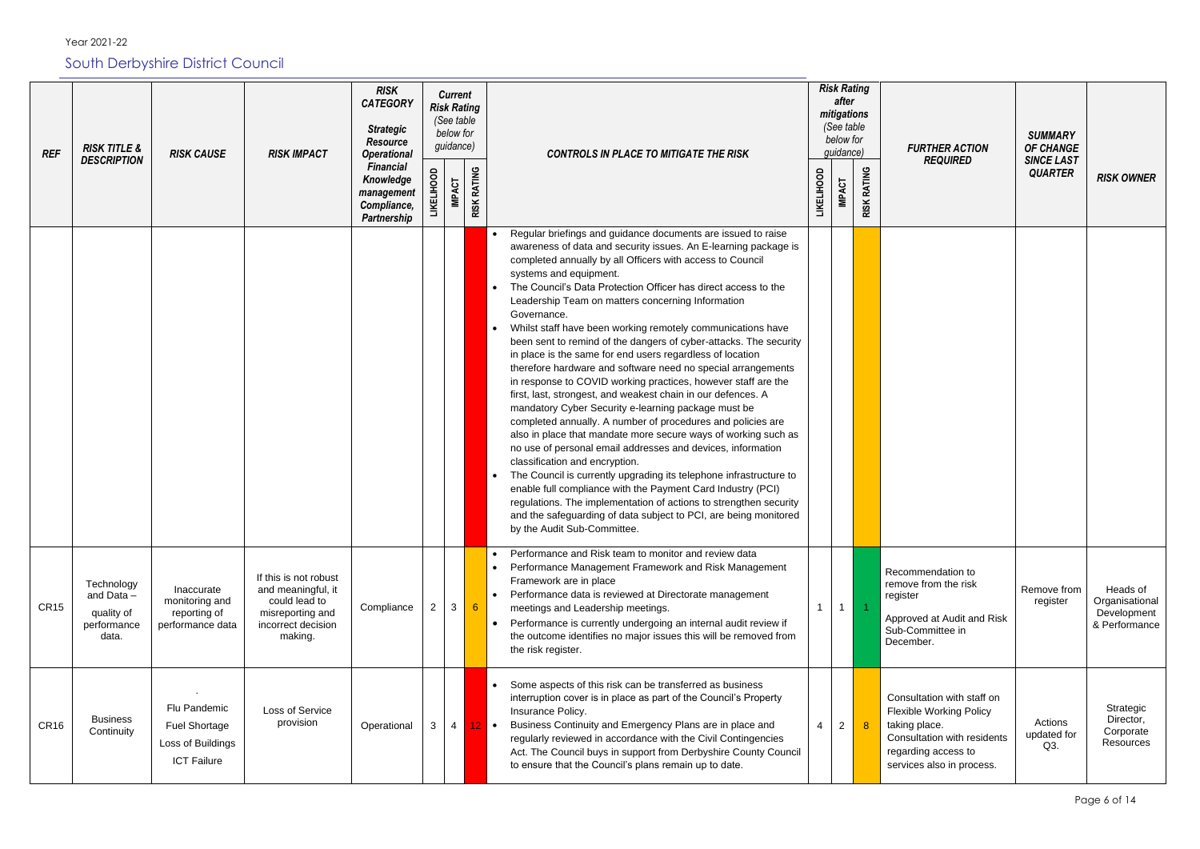Year 2021-22

South Derbyshire District Council

*REF RISK TITLE & DESCRIPTION RISK CAUSE RISK IMPACT RISK CATEGORY Strategic Resource Operational Financial Knowledge management Compliance, Partnership Current Risk Rating (See table below for guidance) CONTROLS IN PLACE TO MITIGATE THE RISK Risk Rating after mitigations (See table below for*   $quidance$ **LIKELIHOOD IMPACT RISK RATING LIKELIHOOD IMPACT RISK RATING** • Regular briefings and guidance documents are issued to raise awareness of data and security issues. An E-learning package is completed annually by all Officers with access to Council systems and equipment. The Council's Data Protection Officer has direct access to the Leadership Team on matters concerning Information Governance. • Whilst staff have been working remotely communications have been sent to remind of the dangers of cyber-attacks. The security in place is the same for end users regardless of location therefore hardware and software need no special arrangements in response to COVID working practices, however staff are the first, last, strongest, and weakest chain in our defences. A mandatory Cyber Security e-learning package must be completed annually. A number of procedures and policies are also in place that mandate more secure ways of working such as no use of personal email addresses and devices, information classification and encryption. The Council is currently upgrading its telephone infrastructure to enable full compliance with the Payment Card Industry (PCI) regulations. The implementation of actions to strengthen security and the safeguarding of data subject to PCI, are being monitored by the Audit Sub-Committee. CR15 **Technology** and Data – quality of performance data. Inaccurate monitoring and reporting of performance data If this is not robust and meaningful, it could lead to misreporting and incorrect decision making. Compliance 2 3 6 • Performance and Risk team to monitor and review data • Performance Management Framework and Risk Management Framework are in place • Performance data is reviewed at Directorate management meetings and Leadership meetings. • Performance is currently undergoing an internal audit review if the outcome identifies no major issues this will be removed from the risk register.  $1 \mid 1$ Reco remo regist Appro Sub-Dece CR16 Business **Continuity** *.* Flu Pandemic Fuel Shortage Loss of Buildings ICT Failure Loss of Service provision | Operational  $3 \mid 4 \mid 12 \mid \bullet$ Some aspects of this risk can be transferred as business interruption cover is in place as part of the Council's Property Insurance Policy. • Business Continuity and Emergency Plans are in place and regularly reviewed in accordance with the Civil Contingencies Act. The Council buys in support from Derbyshire County Council to ensure that the Council's plans remain up to date.  $4$  | 2 | 8 Cons Flexi takin Cons rega servi

| <b>FURTHER ACTION</b><br><b>REQUIRED</b>                                                                                           | <b>SUMMARY</b><br><b>OF CHANGE</b><br><b>SINCE LAST</b><br><b>QUARTER</b> | <b>RISK OWNER</b>                                          |
|------------------------------------------------------------------------------------------------------------------------------------|---------------------------------------------------------------------------|------------------------------------------------------------|
|                                                                                                                                    |                                                                           |                                                            |
| mmendation to<br>ve from the risk<br>ter<br>oved at Audit and Risk<br>Committee in<br>mber.                                        | Remove from<br>register                                                   | Heads of<br>Organisational<br>Development<br>& Performance |
| sultation with staff on<br>ible Working Policy<br>g place.<br>sultation with residents<br>rding access to<br>ices also in process. | Actions<br>updated for<br>Q3.                                             | Strategic<br>Director,<br>Corporate<br>Resources           |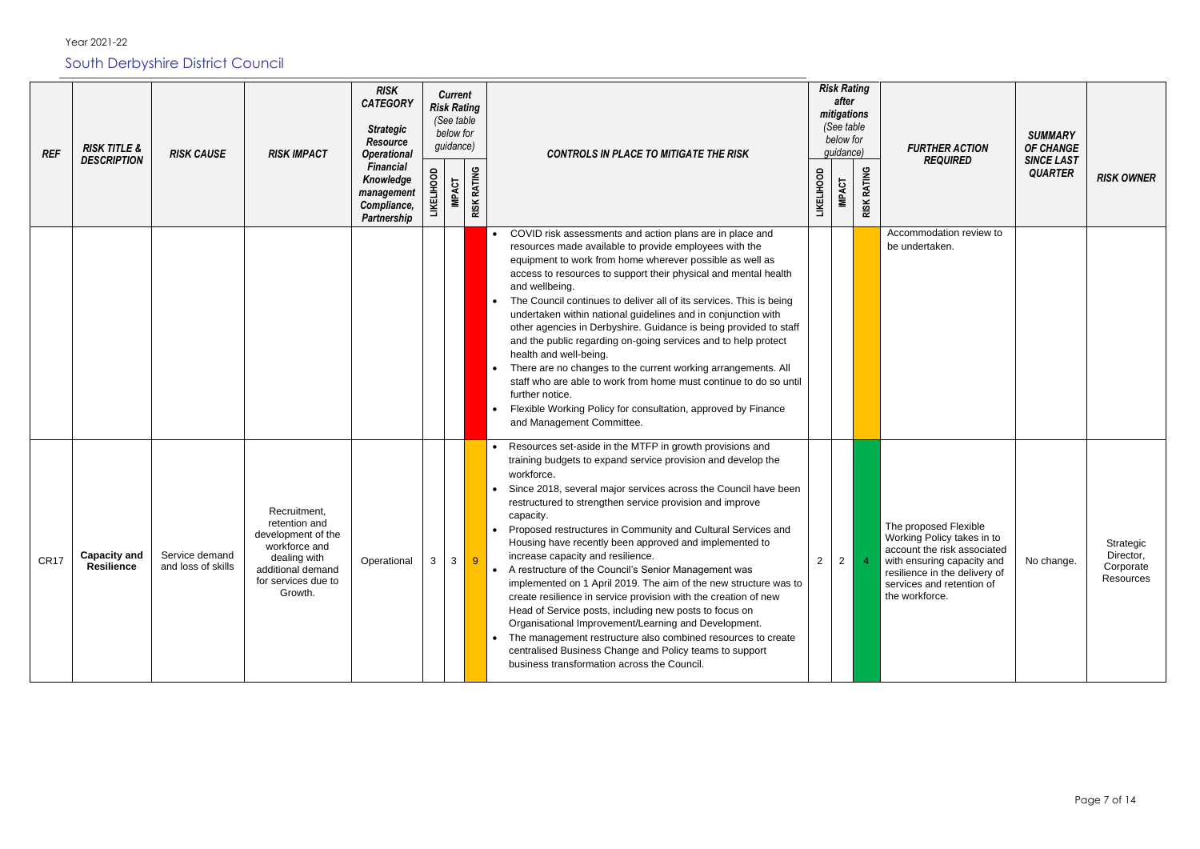| <b>REF</b> | <b>RISK TITLE &amp;</b><br><b>DESCRIPTION</b> | <b>RISK CAUSE</b>                    | <b>Risk Rating</b><br><b>RISK</b><br><b>Current</b><br>after<br><b>CATEGORY</b><br><b>Risk Rating</b><br>mitigations<br>(See table<br>(See table<br><b>Strategic</b><br>below for<br>below for<br><b>Resource</b><br>guidance)<br><b>FURTHER ACTION</b><br>guidance)<br><b>RISK IMPACT</b><br><b>Operational</b><br><b>CONTROLS IN PLACE TO MITIGATE THE RISK</b><br><b>REQUIRED</b> | <b>SUMMARY</b><br><b>OF CHANGE</b><br><b>SINCE LAST</b>                          |                |                         |                    |                                                                                                                                                                                                                                                                                                                                                                                                                                                                                                                                                                                                                                                                                                                                                                                                                                                                                                                                                    |                   |               |                       |                                                                                                                                                                                                  |                |                                                  |
|------------|-----------------------------------------------|--------------------------------------|--------------------------------------------------------------------------------------------------------------------------------------------------------------------------------------------------------------------------------------------------------------------------------------------------------------------------------------------------------------------------------------|----------------------------------------------------------------------------------|----------------|-------------------------|--------------------|----------------------------------------------------------------------------------------------------------------------------------------------------------------------------------------------------------------------------------------------------------------------------------------------------------------------------------------------------------------------------------------------------------------------------------------------------------------------------------------------------------------------------------------------------------------------------------------------------------------------------------------------------------------------------------------------------------------------------------------------------------------------------------------------------------------------------------------------------------------------------------------------------------------------------------------------------|-------------------|---------------|-----------------------|--------------------------------------------------------------------------------------------------------------------------------------------------------------------------------------------------|----------------|--------------------------------------------------|
|            |                                               |                                      |                                                                                                                                                                                                                                                                                                                                                                                      | <b>Financial</b><br>Knowledge<br>management<br>Compliance,<br><b>Partnership</b> |                | <b>IMPACT</b>           | <b>RISK RATING</b> |                                                                                                                                                                                                                                                                                                                                                                                                                                                                                                                                                                                                                                                                                                                                                                                                                                                                                                                                                    | <b>LIKELIHOOD</b> | <b>IMPACT</b> | RATING<br><b>RISK</b> |                                                                                                                                                                                                  | <b>QUARTER</b> | <b>RISK OWNER</b>                                |
|            |                                               |                                      |                                                                                                                                                                                                                                                                                                                                                                                      |                                                                                  |                |                         |                    | COVID risk assessments and action plans are in place and<br>$\bullet$<br>resources made available to provide employees with the<br>equipment to work from home wherever possible as well as<br>access to resources to support their physical and mental health<br>and wellbeing.<br>The Council continues to deliver all of its services. This is being<br>undertaken within national guidelines and in conjunction with<br>other agencies in Derbyshire. Guidance is being provided to staff<br>and the public regarding on-going services and to help protect<br>health and well-being.<br>There are no changes to the current working arrangements. All<br>staff who are able to work from home must continue to do so until<br>further notice.<br>Flexible Working Policy for consultation, approved by Finance<br>and Management Committee.                                                                                                   |                   |               |                       | Accommodation review to<br>be undertaken.                                                                                                                                                        |                |                                                  |
| CR17       | <b>Capacity and</b><br><b>Resilience</b>      | Service demand<br>and loss of skills | Recruitment,<br>retention and<br>development of the<br>workforce and<br>dealing with<br>additional demand<br>for services due to<br>Growth.                                                                                                                                                                                                                                          | Operational                                                                      | 3 <sup>1</sup> | $\overline{\mathbf{3}}$ | 9 <sup>°</sup>     | • Resources set-aside in the MTFP in growth provisions and<br>training budgets to expand service provision and develop the<br>workforce.<br>Since 2018, several major services across the Council have been<br>restructured to strengthen service provision and improve<br>capacity.<br>• Proposed restructures in Community and Cultural Services and<br>Housing have recently been approved and implemented to<br>increase capacity and resilience.<br>• A restructure of the Council's Senior Management was<br>implemented on 1 April 2019. The aim of the new structure was to<br>create resilience in service provision with the creation of new<br>Head of Service posts, including new posts to focus on<br>Organisational Improvement/Learning and Development.<br>The management restructure also combined resources to create<br>centralised Business Change and Policy teams to support<br>business transformation across the Council. | $2^{\circ}$       | $2 \mid$      |                       | The proposed Flexible<br>Working Policy takes in to<br>account the risk associated<br>with ensuring capacity and<br>resilience in the delivery of<br>services and retention of<br>the workforce. | No change.     | Strategic<br>Director,<br>Corporate<br>Resources |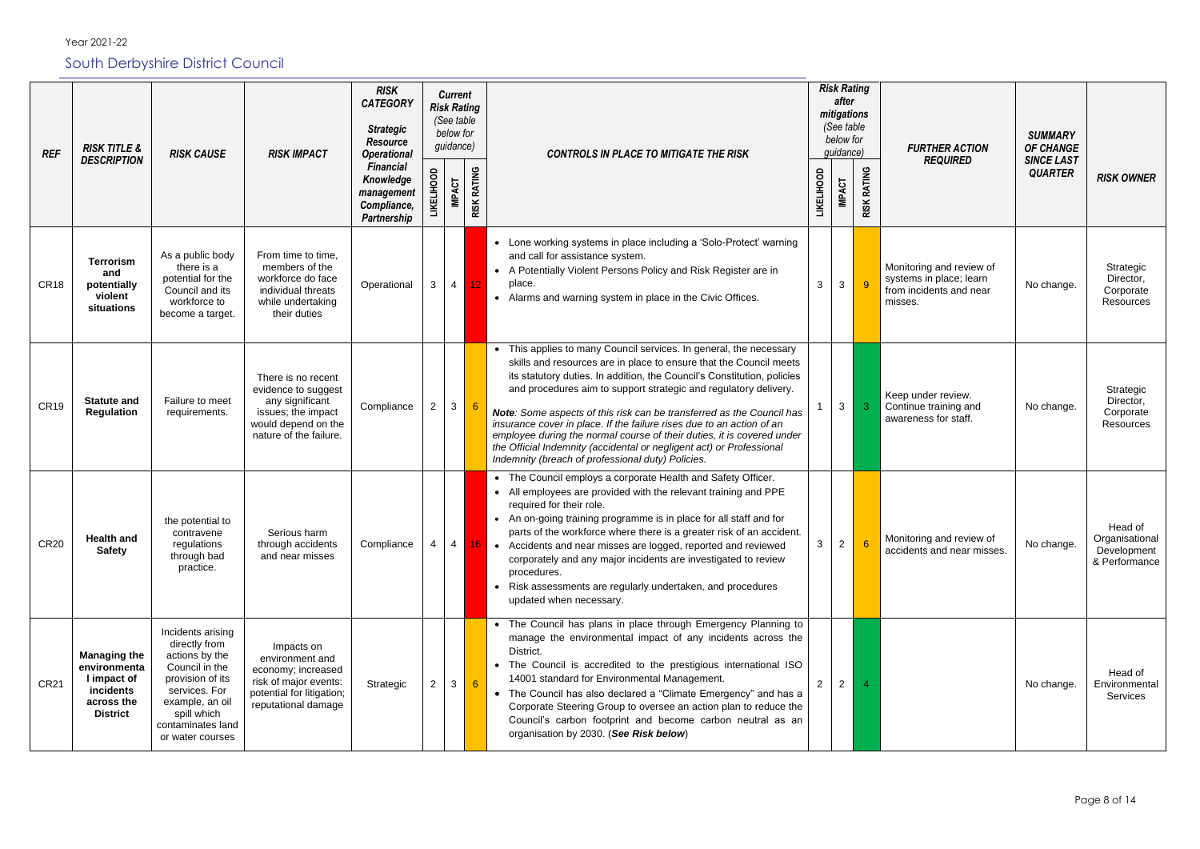| <b>REF</b>       | <b>RISK TITLE &amp;</b>                                                                          | <b>RISK CAUSE</b>                                                                                                                                                                      | <b>RISK IMPACT</b>                                                                                                                  | <b>RISK</b><br><b>CATEGORY</b><br><b>Strategic</b><br><b>Resource</b><br><b>Operational</b> | <b>Risk Rating</b><br>(See table<br>guidance) | <b>Current</b><br>below for |                    | <b>CONTROLS IN PLACE TO MITIGATE THE RISK</b>                                                                                                                                                                                                                                                                                                                                                                                                                                                                                                                                                                                                    | <b>Risk Rating</b><br>after<br>mitigations<br>(See table<br>below for<br>quidance) |                    | <b>FURTHER ACTION</b>                                                                     | <b>SUMMARY</b><br><b>OF CHANGE</b>  |                                                           |
|------------------|--------------------------------------------------------------------------------------------------|----------------------------------------------------------------------------------------------------------------------------------------------------------------------------------------|-------------------------------------------------------------------------------------------------------------------------------------|---------------------------------------------------------------------------------------------|-----------------------------------------------|-----------------------------|--------------------|--------------------------------------------------------------------------------------------------------------------------------------------------------------------------------------------------------------------------------------------------------------------------------------------------------------------------------------------------------------------------------------------------------------------------------------------------------------------------------------------------------------------------------------------------------------------------------------------------------------------------------------------------|------------------------------------------------------------------------------------|--------------------|-------------------------------------------------------------------------------------------|-------------------------------------|-----------------------------------------------------------|
|                  | <b>DESCRIPTION</b>                                                                               |                                                                                                                                                                                        |                                                                                                                                     | <b>Financial</b><br>Knowledge<br>management<br>Compliance,<br><b>Partnership</b>            | <b>LIKELIHOOD</b>                             | <b>IMPACT</b>               | <b>RISK RATING</b> |                                                                                                                                                                                                                                                                                                                                                                                                                                                                                                                                                                                                                                                  | <b>LIKELIHOOD</b><br><b>IMPACT</b>                                                 | <b>RISK RATING</b> | <b>REQUIRED</b>                                                                           | <b>SINCE LAST</b><br><b>QUARTER</b> | <b>RISK OWNER</b>                                         |
| CR <sub>18</sub> | <b>Terrorism</b><br>and<br>potentially<br>violent<br>situations                                  | As a public body<br>there is a<br>potential for the<br>Council and its<br>workforce to<br>become a target.                                                                             | From time to time,<br>members of the<br>workforce do face<br>individual threats<br>while undertaking<br>their duties                | Operational                                                                                 | 3                                             | $\overline{4}$              | 12.                | • Lone working systems in place including a 'Solo-Protect' warning<br>and call for assistance system.<br>• A Potentially Violent Persons Policy and Risk Register are in<br>place.<br>• Alarms and warning system in place in the Civic Offices.                                                                                                                                                                                                                                                                                                                                                                                                 | $\mathbf{3}$<br>3                                                                  | -9                 | Monitoring and review of<br>systems in place; learn<br>from incidents and near<br>misses. | No change.                          | Strategic<br>Director,<br>Corporate<br>Resources          |
| CR <sub>19</sub> | <b>Statute and</b><br>Regulation                                                                 | Failure to meet<br>requirements.                                                                                                                                                       | There is no recent<br>evidence to suggest<br>any significant<br>issues; the impact<br>would depend on the<br>nature of the failure. | Compliance                                                                                  | $\overline{2}$                                | $\mathbf{3}$                |                    | • This applies to many Council services. In general, the necessary<br>skills and resources are in place to ensure that the Council meets<br>its statutory duties. In addition, the Council's Constitution, policies<br>and procedures aim to support strategic and regulatory delivery.<br>Note: Some aspects of this risk can be transferred as the Council has<br>insurance cover in place. If the failure rises due to an action of an<br>employee during the normal course of their duties, it is covered under<br>the Official Indemnity (accidental or negligent act) or Professional<br>Indemnity (breach of professional duty) Policies. | $\mathbf{3}$                                                                       | $\mathbf{3}$       | Keep under review.<br>Continue training and<br>awareness for staff.                       | No change.                          | Strategic<br>Director,<br>Corporate<br>Resources          |
| <b>CR20</b>      | <b>Health and</b><br><b>Safety</b>                                                               | the potential to<br>contravene<br>regulations<br>through bad<br>practice.                                                                                                              | Serious harm<br>through accidents<br>and near misses                                                                                | Compliance                                                                                  |                                               | $\overline{4}$              |                    | • The Council employs a corporate Health and Safety Officer.<br>• All employees are provided with the relevant training and PPE<br>required for their role.<br>• An on-going training programme is in place for all staff and for<br>parts of the workforce where there is a greater risk of an accident.<br>• Accidents and near misses are logged, reported and reviewed<br>corporately and any major incidents are investigated to review<br>procedures.<br>• Risk assessments are regularly undertaken, and procedures<br>updated when necessary.                                                                                            | $\overline{2}$<br>3                                                                |                    | Monitoring and review of<br>accidents and near misses.                                    | No change.                          | Head of<br>Organisational<br>Development<br>& Performance |
| <b>CR21</b>      | <b>Managing the</b><br>environmenta<br>I impact of<br>incidents<br>across the<br><b>District</b> | Incidents arising<br>directly from<br>actions by the<br>Council in the<br>provision of its<br>services. For<br>example, an oil<br>spill which<br>contaminates land<br>or water courses | Impacts on<br>environment and<br>economy; increased<br>risk of major events:<br>potential for litigation;<br>reputational damage    | Strategic                                                                                   | 2                                             | $\mathbf{3}$                |                    | • The Council has plans in place through Emergency Planning to<br>manage the environmental impact of any incidents across the<br>District.<br>• The Council is accredited to the prestigious international ISO<br>14001 standard for Environmental Management.<br>• The Council has also declared a "Climate Emergency" and has a<br>Corporate Steering Group to oversee an action plan to reduce the<br>Council's carbon footprint and become carbon neutral as an<br>organisation by 2030. (See Risk below)                                                                                                                                    | $\overline{2}$<br>$\mathbf{2}^{\circ}$                                             |                    |                                                                                           | No change.                          | Head of<br>Environmental<br>Services                      |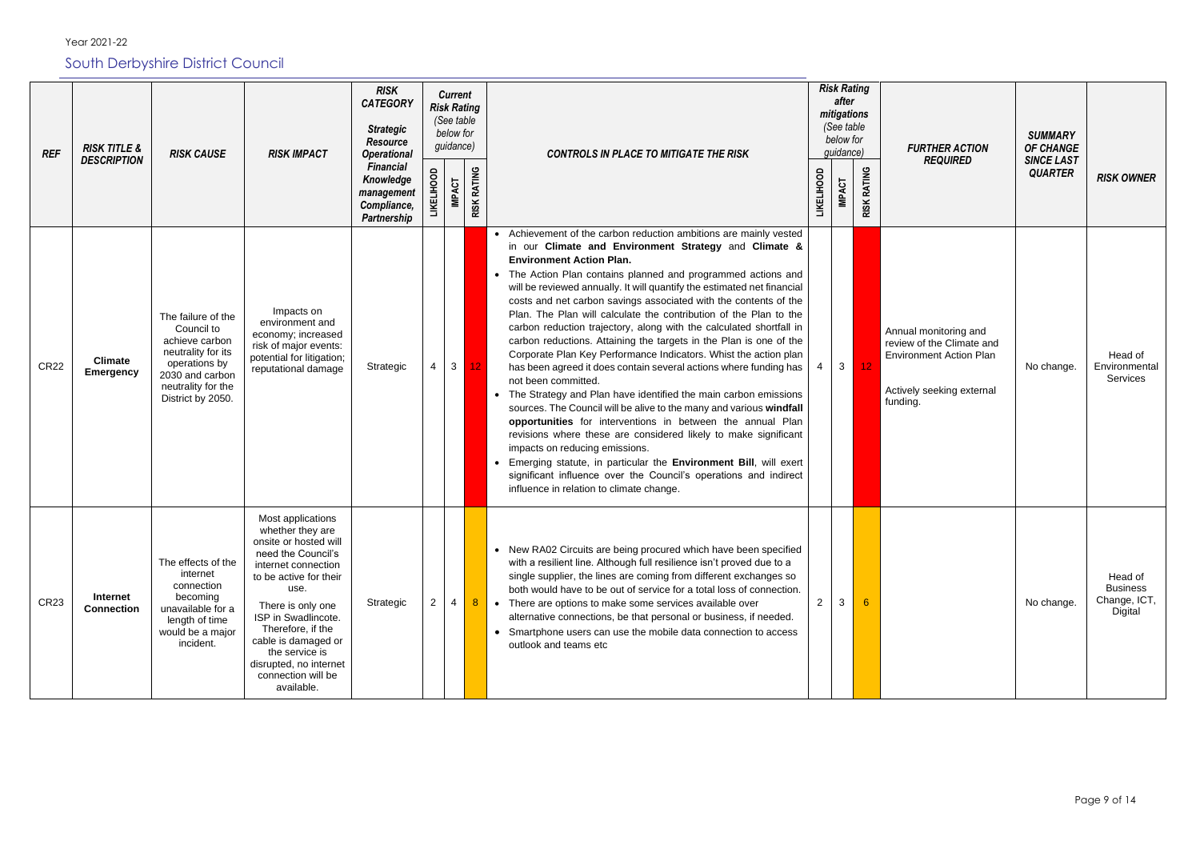| <b>REF</b>  | <b>RISK TITLE &amp;</b>            | <b>Risk Rating</b><br><b>RISK</b><br><b>Current</b><br>after<br><b>CATEGORY</b><br><b>Risk Rating</b><br>mitigations<br>(See table<br>(See table<br><b>Strategic</b><br>below for<br>below for<br><b>Resource</b><br>guidance)<br>guidance)<br><b>RISK CAUSE</b><br><b>RISK IMPACT</b><br><b>Operational</b><br><b>CONTROLS IN PLACE TO MITIGATE THE RISK</b><br><b>DESCRIPTION</b> |                                                                                                                                                                                                                                                                                                                       | <b>FURTHER ACTION</b>                                                     | <b>SUMMARY</b><br><b>OF CHANGE</b> |                |                    |                                                                                                                                                                                                                                                                                                                                                                                                                                                                                                                                                                                                                                                                                                                                                                                                                                                                                                                                                                                                                                                                                                                                                                                                                                                                    |                   |                |                              |                                                                                                                               |                                     |                                                       |
|-------------|------------------------------------|-------------------------------------------------------------------------------------------------------------------------------------------------------------------------------------------------------------------------------------------------------------------------------------------------------------------------------------------------------------------------------------|-----------------------------------------------------------------------------------------------------------------------------------------------------------------------------------------------------------------------------------------------------------------------------------------------------------------------|---------------------------------------------------------------------------|------------------------------------|----------------|--------------------|--------------------------------------------------------------------------------------------------------------------------------------------------------------------------------------------------------------------------------------------------------------------------------------------------------------------------------------------------------------------------------------------------------------------------------------------------------------------------------------------------------------------------------------------------------------------------------------------------------------------------------------------------------------------------------------------------------------------------------------------------------------------------------------------------------------------------------------------------------------------------------------------------------------------------------------------------------------------------------------------------------------------------------------------------------------------------------------------------------------------------------------------------------------------------------------------------------------------------------------------------------------------|-------------------|----------------|------------------------------|-------------------------------------------------------------------------------------------------------------------------------|-------------------------------------|-------------------------------------------------------|
|             |                                    |                                                                                                                                                                                                                                                                                                                                                                                     |                                                                                                                                                                                                                                                                                                                       | <b>Financial</b><br>Knowledge<br>management<br>Compliance,<br>Partnership | HOOD                               | <b>IMPACT</b>  | <b>RISK RATING</b> |                                                                                                                                                                                                                                                                                                                                                                                                                                                                                                                                                                                                                                                                                                                                                                                                                                                                                                                                                                                                                                                                                                                                                                                                                                                                    | <b>LIKELIHOOD</b> | <b>IMPACT</b>  | <b>RATING</b><br><b>RISK</b> | <b>REQUIRED</b>                                                                                                               | <b>SINCE LAST</b><br><b>QUARTER</b> | <b>RISK OWNER</b>                                     |
| <b>CR22</b> | <b>Climate</b><br><b>Emergency</b> | The failure of the<br>Council to<br>achieve carbon<br>neutrality for its<br>operations by<br>2030 and carbon<br>neutrality for the<br>District by 2050.                                                                                                                                                                                                                             | Impacts on<br>environment and<br>economy; increased<br>risk of major events:<br>potential for litigation;<br>reputational damage                                                                                                                                                                                      | Strategic                                                                 |                                    | 3 <sup>1</sup> | 12                 | • Achievement of the carbon reduction ambitions are mainly vested<br>in our Climate and Environment Strategy and Climate &<br><b>Environment Action Plan.</b><br>• The Action Plan contains planned and programmed actions and<br>will be reviewed annually. It will quantify the estimated net financial<br>costs and net carbon savings associated with the contents of the<br>Plan. The Plan will calculate the contribution of the Plan to the<br>carbon reduction trajectory, along with the calculated shortfall in<br>carbon reductions. Attaining the targets in the Plan is one of the<br>Corporate Plan Key Performance Indicators. Whist the action plan<br>has been agreed it does contain several actions where funding has<br>not been committed.<br>• The Strategy and Plan have identified the main carbon emissions<br>sources. The Council will be alive to the many and various windfall<br>opportunities for interventions in between the annual Plan<br>revisions where these are considered likely to make significant<br>impacts on reducing emissions.<br>Emerging statute, in particular the Environment Bill, will exert<br>significant influence over the Council's operations and indirect<br>influence in relation to climate change. | 4                 | 3 <sup>1</sup> | 12 <sub>2</sub>              | Annual monitoring and<br>review of the Climate and<br><b>Environment Action Plan</b><br>Actively seeking external<br>funding. | No change.                          | Head of<br>Environmental<br>Services                  |
| <b>CR23</b> | Internet<br><b>Connection</b>      | The effects of the<br>internet<br>connection<br>becoming<br>unavailable for a<br>length of time<br>would be a major<br>incident.                                                                                                                                                                                                                                                    | Most applications<br>whether they are<br>onsite or hosted will<br>need the Council's<br>internet connection<br>to be active for their<br>use.<br>There is only one<br>ISP in Swadlincote.<br>Therefore, if the<br>cable is damaged or<br>the service is<br>disrupted, no internet<br>connection will be<br>available. | Strategic                                                                 | $\mathbf{2}^{\prime}$              | $\overline{4}$ | $8^{\circ}$        | • New RA02 Circuits are being procured which have been specified<br>with a resilient line. Although full resilience isn't proved due to a<br>single supplier, the lines are coming from different exchanges so<br>both would have to be out of service for a total loss of connection.<br>• There are options to make some services available over<br>alternative connections, be that personal or business, if needed.<br>• Smartphone users can use the mobile data connection to access<br>outlook and teams etc                                                                                                                                                                                                                                                                                                                                                                                                                                                                                                                                                                                                                                                                                                                                                | $\overline{2}$    | 3              |                              |                                                                                                                               | No change.                          | Head of<br><b>Business</b><br>Change, ICT,<br>Digital |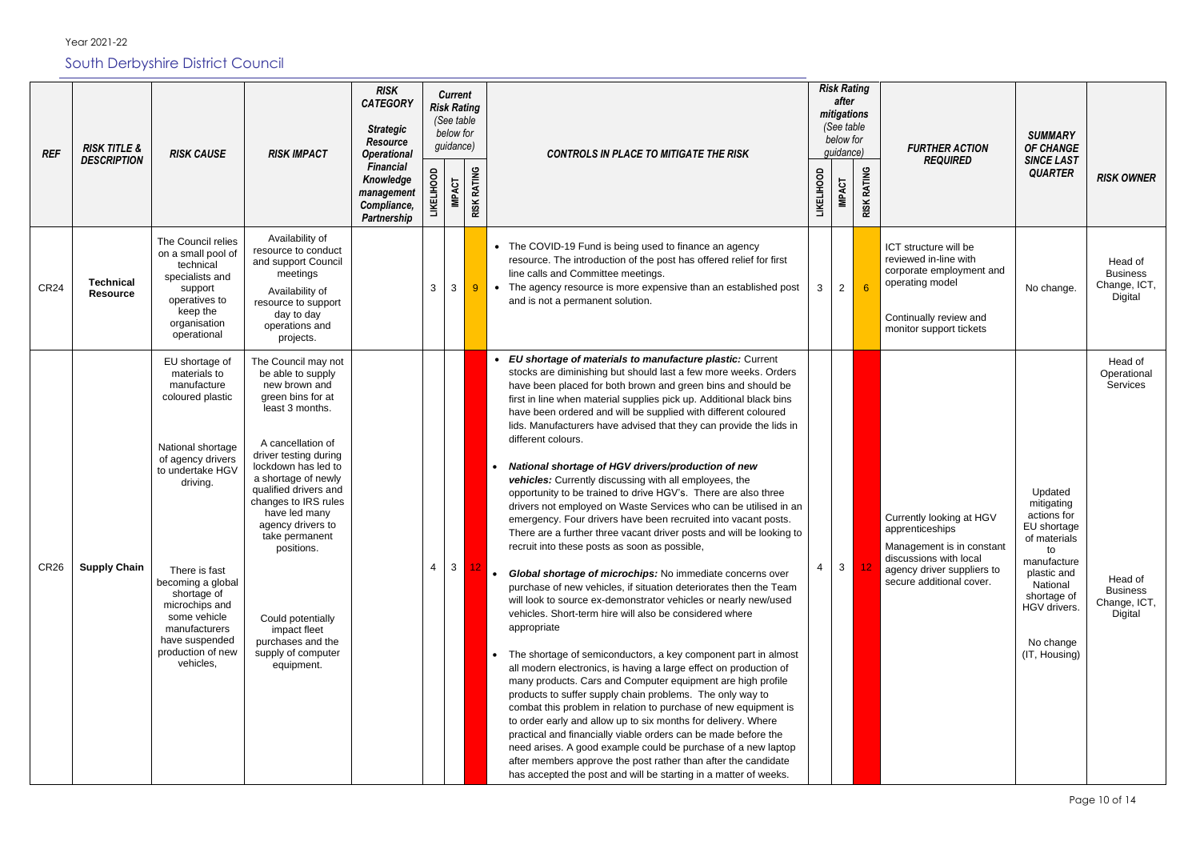| <b>REF</b>       | <b>RISK TITLE &amp;</b><br><b>DESCRIPTION</b> | <b>RISK CAUSE</b>                                                                                                                                                                                                                                                                                       | <b>RISK IMPACT</b>                                                                                                                                                                                                                                                                                                                                                                                                 | <b>RISK</b><br><b>CATEGORY</b><br><b>Strategic</b><br><b>Resource</b><br><b>Operational</b> |   | <b>Current</b><br><b>Risk Rating</b><br>(See table<br>below for<br>guidance) |                    | <b>CONTROLS IN PLACE TO MITIGATE THE RISK</b>                                                                                                                                                                                                                                                                                                                                                                                                                                                                                                                                                                                                                                                                                                                                                                                                                                                                                                                                                                                                                                                                                                                                                                                                                                                                                                                                                                                                                                                                                                                                                                                                                                                                                                                                                                                                                              |                   | <b>Risk Rating</b><br>after<br>mitigations<br>(See table<br>below for<br><i>guidance</i> ) |                    | <b>FURTHER ACTION</b><br><b>REQUIRED</b>                                                                                                                     | <b>SUMMARY</b><br><b>OF CHANGE</b><br><b>SINCE LAST</b>                                                                                                                          |                                                                                             |
|------------------|-----------------------------------------------|---------------------------------------------------------------------------------------------------------------------------------------------------------------------------------------------------------------------------------------------------------------------------------------------------------|--------------------------------------------------------------------------------------------------------------------------------------------------------------------------------------------------------------------------------------------------------------------------------------------------------------------------------------------------------------------------------------------------------------------|---------------------------------------------------------------------------------------------|---|------------------------------------------------------------------------------|--------------------|----------------------------------------------------------------------------------------------------------------------------------------------------------------------------------------------------------------------------------------------------------------------------------------------------------------------------------------------------------------------------------------------------------------------------------------------------------------------------------------------------------------------------------------------------------------------------------------------------------------------------------------------------------------------------------------------------------------------------------------------------------------------------------------------------------------------------------------------------------------------------------------------------------------------------------------------------------------------------------------------------------------------------------------------------------------------------------------------------------------------------------------------------------------------------------------------------------------------------------------------------------------------------------------------------------------------------------------------------------------------------------------------------------------------------------------------------------------------------------------------------------------------------------------------------------------------------------------------------------------------------------------------------------------------------------------------------------------------------------------------------------------------------------------------------------------------------------------------------------------------------|-------------------|--------------------------------------------------------------------------------------------|--------------------|--------------------------------------------------------------------------------------------------------------------------------------------------------------|----------------------------------------------------------------------------------------------------------------------------------------------------------------------------------|---------------------------------------------------------------------------------------------|
|                  |                                               |                                                                                                                                                                                                                                                                                                         |                                                                                                                                                                                                                                                                                                                                                                                                                    | <b>Financial</b><br>Knowledge<br>management<br>Compliance,<br>Partnership                   |   | <b>IMPACT</b>                                                                | <b>RISK RATING</b> |                                                                                                                                                                                                                                                                                                                                                                                                                                                                                                                                                                                                                                                                                                                                                                                                                                                                                                                                                                                                                                                                                                                                                                                                                                                                                                                                                                                                                                                                                                                                                                                                                                                                                                                                                                                                                                                                            | <b>LIKELIHOOD</b> | <b>IMPACT</b>                                                                              | <b>RISK RATING</b> |                                                                                                                                                              | <b>QUARTER</b>                                                                                                                                                                   | <b>RISK OWNER</b>                                                                           |
| <b>CR24</b>      | <b>Technical</b><br><b>Resource</b>           | The Council relies<br>on a small pool of<br>technical<br>specialists and<br>support<br>operatives to<br>keep the<br>organisation<br>operational                                                                                                                                                         | Availability of<br>resource to conduct<br>and support Council<br>meetings<br>Availability of<br>resource to support<br>day to day<br>operations and<br>projects.                                                                                                                                                                                                                                                   |                                                                                             | 3 | 3                                                                            | $9 -$              | • The COVID-19 Fund is being used to finance an agency<br>resource. The introduction of the post has offered relief for first<br>line calls and Committee meetings.<br>The agency resource is more expensive than an established post<br>$\bullet$<br>and is not a permanent solution.                                                                                                                                                                                                                                                                                                                                                                                                                                                                                                                                                                                                                                                                                                                                                                                                                                                                                                                                                                                                                                                                                                                                                                                                                                                                                                                                                                                                                                                                                                                                                                                     | 3                 | $\overline{2}$                                                                             | 6                  | ICT structure will be<br>reviewed in-line with<br>corporate employment and<br>operating model<br>Continually review and<br>monitor support tickets           | No change.                                                                                                                                                                       | Head of<br><b>Business</b><br>Change, ICT,<br>Digital                                       |
| CR <sub>26</sub> | <b>Supply Chain</b>                           | EU shortage of<br>materials to<br>manufacture<br>coloured plastic<br>National shortage<br>of agency drivers<br>to undertake HGV<br>driving.<br>There is fast<br>becoming a global<br>shortage of<br>microchips and<br>some vehicle<br>manufacturers<br>have suspended<br>production of new<br>vehicles, | The Council may not<br>be able to supply<br>new brown and<br>green bins for at<br>least 3 months.<br>A cancellation of<br>driver testing during<br>lockdown has led to<br>a shortage of newly<br>qualified drivers and<br>changes to IRS rules<br>have led many<br>agency drivers to<br>take permanent<br>positions.<br>Could potentially<br>impact fleet<br>purchases and the<br>supply of computer<br>equipment. |                                                                                             | 4 | 3 <sup>1</sup>                                                               |                    | EU shortage of materials to manufacture plastic: Current<br>stocks are diminishing but should last a few more weeks. Orders<br>have been placed for both brown and green bins and should be<br>first in line when material supplies pick up. Additional black bins<br>have been ordered and will be supplied with different coloured<br>lids. Manufacturers have advised that they can provide the lids in<br>different colours.<br>National shortage of HGV drivers/production of new<br>$\bullet$<br>vehicles: Currently discussing with all employees, the<br>opportunity to be trained to drive HGV's. There are also three<br>drivers not employed on Waste Services who can be utilised in an<br>emergency. Four drivers have been recruited into vacant posts.<br>There are a further three vacant driver posts and will be looking to<br>recruit into these posts as soon as possible,<br>Global shortage of microchips: No immediate concerns over<br>purchase of new vehicles, if situation deteriorates then the Team<br>will look to source ex-demonstrator vehicles or nearly new/used<br>vehicles. Short-term hire will also be considered where<br>appropriate<br>The shortage of semiconductors, a key component part in almost<br>$\bullet$<br>all modern electronics, is having a large effect on production of<br>many products. Cars and Computer equipment are high profile<br>products to suffer supply chain problems. The only way to<br>combat this problem in relation to purchase of new equipment is<br>to order early and allow up to six months for delivery. Where<br>practical and financially viable orders can be made before the<br>need arises. A good example could be purchase of a new laptop<br>after members approve the post rather than after the candidate<br>has accepted the post and will be starting in a matter of weeks. |                   | 3 <sup>1</sup>                                                                             |                    | Currently looking at HGV<br>apprenticeships<br>Management is in constant<br>discussions with local<br>agency driver suppliers to<br>secure additional cover. | Updated<br>mitigating<br>actions for<br>EU shortage<br>of materials<br>to<br>manufacture<br>plastic and<br>National<br>shortage of<br>HGV drivers.<br>No change<br>(IT, Housing) | Head of<br>Operational<br>Services<br>Head of<br><b>Business</b><br>Change, ICT,<br>Digital |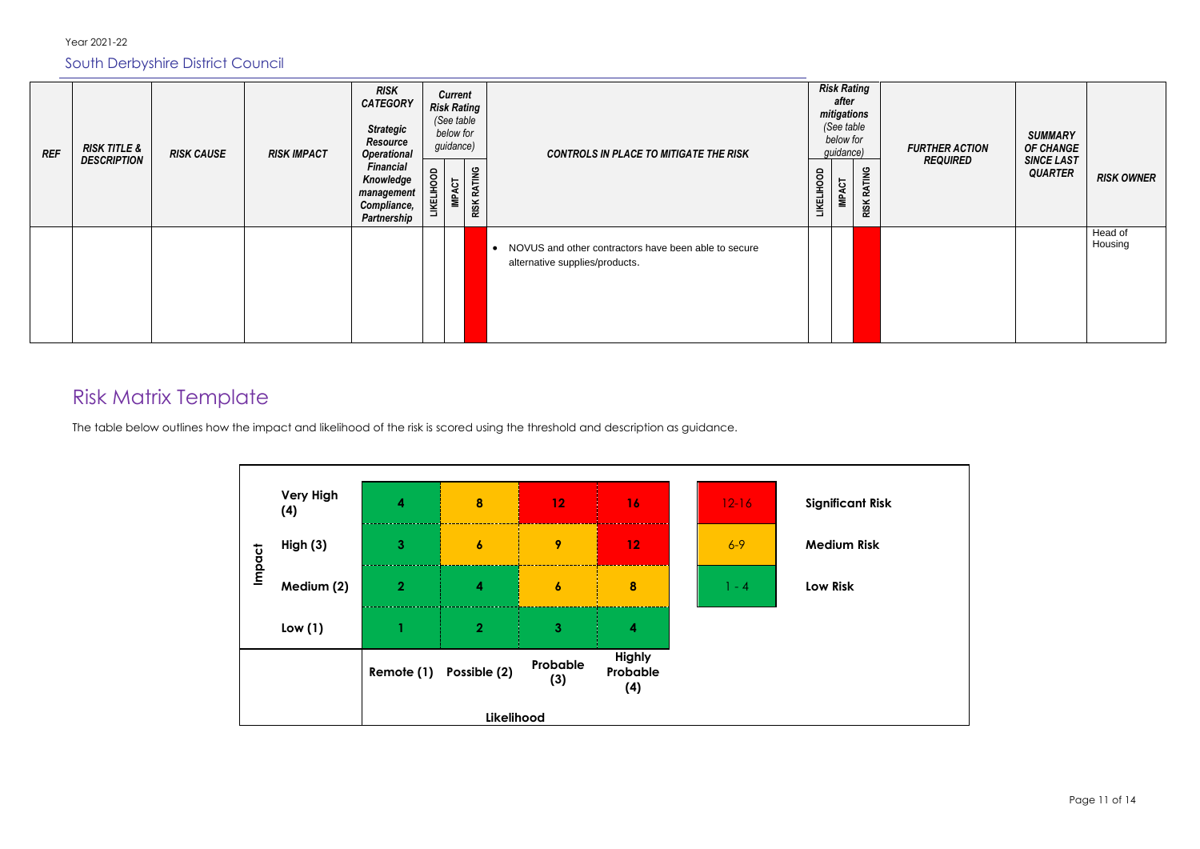| <b>REF</b> | <b>RISK TITLE &amp;</b><br><b>DESCRIPTION</b> | <b>RISK CAUSE</b> | <b>RISK IMPACT</b> | <b>RISK</b><br><b>CATEGORY</b><br><b>Strategic</b><br><b>Resource</b><br><b>Operational</b><br><b>Financial</b><br>Knowledge<br>management<br>Compliance,<br>Partnership | <b>LIKELIHOOD</b> | <b>Current</b><br><b>Risk Rating</b><br>(See table<br>below for<br>guidance)<br><b>IMPACT</b> | <b>RISK RATING</b> | <b>CONTROLS IN PLACE TO MITIGATE THE RISK</b>                                            | <b>LIKELIHOOD</b> | after<br><b>IMPACT</b> | <b>Risk Rating</b><br>mitigations<br>(See table<br>below for<br>guidance) | <b>RISK RATING</b> | <b>FURTHER ACTION</b><br><b>REQUIRED</b> | <b>SUMMARY</b><br><b>OF CHANGE</b><br><b>SINCE LAST</b><br><b>QUARTER</b> | <b>RISK OWNER</b>  |
|------------|-----------------------------------------------|-------------------|--------------------|--------------------------------------------------------------------------------------------------------------------------------------------------------------------------|-------------------|-----------------------------------------------------------------------------------------------|--------------------|------------------------------------------------------------------------------------------|-------------------|------------------------|---------------------------------------------------------------------------|--------------------|------------------------------------------|---------------------------------------------------------------------------|--------------------|
|            |                                               |                   |                    |                                                                                                                                                                          |                   |                                                                                               |                    | • NOVUS and other contractors have been able to secure<br>alternative supplies/products. |                   |                        |                                                                           |                    |                                          |                                                                           | Head of<br>Housing |

## Risk Matrix Template

The table below outlines how the impact and likelihood of the risk is scored using the threshold and description as guidance.

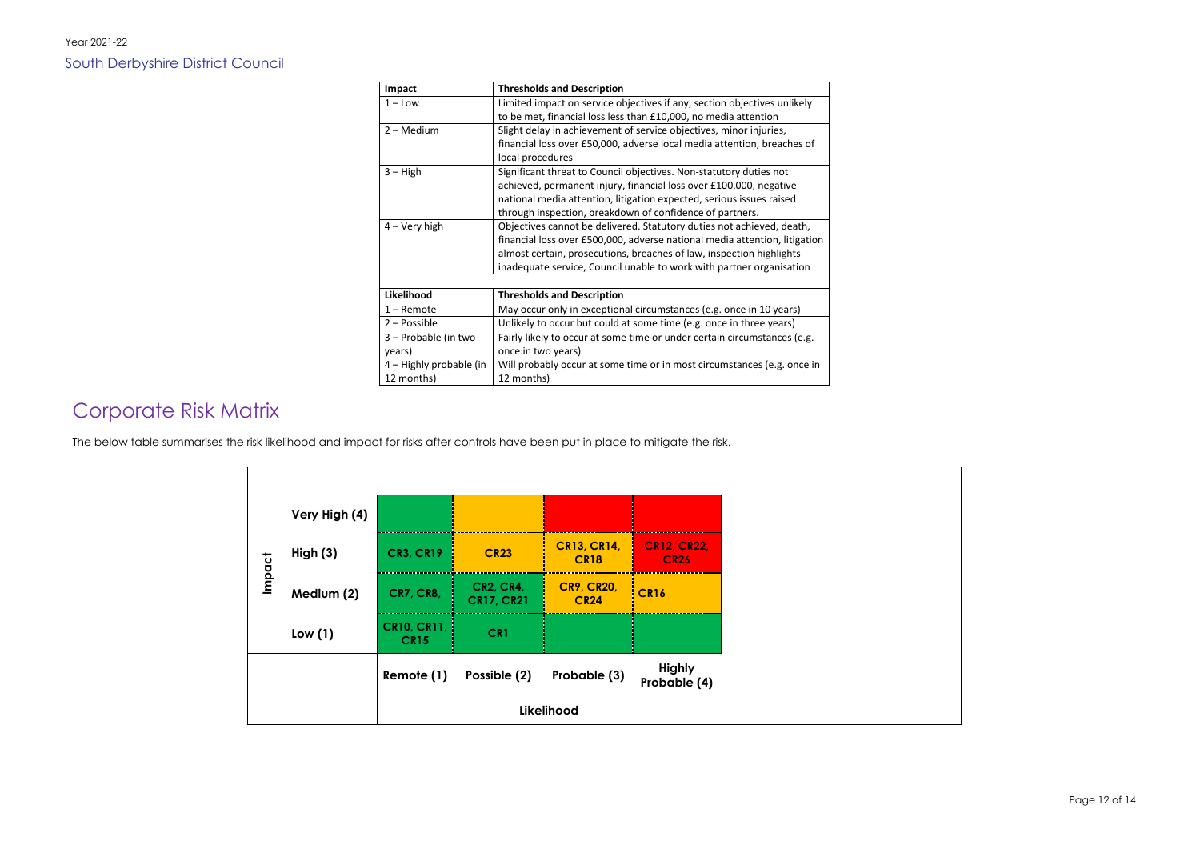Page 12 of 14

| Impact                  | <b>Thresholds and Description</b>                                          |
|-------------------------|----------------------------------------------------------------------------|
| $1 -$ Low               | Limited impact on service objectives if any, section objectives unlikely   |
|                         | to be met, financial loss less than £10,000, no media attention            |
| 2 - Medium              | Slight delay in achievement of service objectives, minor injuries,         |
|                         | financial loss over £50,000, adverse local media attention, breaches of    |
|                         | local procedures                                                           |
| $3 - High$              | Significant threat to Council objectives. Non-statutory duties not         |
|                         | achieved, permanent injury, financial loss over £100,000, negative         |
|                         | national media attention, litigation expected, serious issues raised       |
|                         | through inspection, breakdown of confidence of partners.                   |
| 4 – Very high           | Objectives cannot be delivered. Statutory duties not achieved, death,      |
|                         | financial loss over £500,000, adverse national media attention, litigation |
|                         | almost certain, prosecutions, breaches of law, inspection highlights       |
|                         | inadequate service, Council unable to work with partner organisation       |
|                         |                                                                            |
| Likelihood              | <b>Thresholds and Description</b>                                          |
| $1 -$ Remote            | May occur only in exceptional circumstances (e.g. once in 10 years)        |
| 2 - Possible            | Unlikely to occur but could at some time (e.g. once in three years)        |
| 3 - Probable (in two    | Fairly likely to occur at some time or under certain circumstances (e.g.   |
| years)                  | once in two years)                                                         |
| 4 – Highly probable (in | Will probably occur at some time or in most circumstances (e.g. once in    |
| 12 months)              | 12 months)                                                                 |

## Corporate Risk Matrix

The below table summarises the risk likelihood and impact for risks after controls have been put in place to mitigate the risk.

|            | Very High (4) |                                   |                                       |                                   |                                   |
|------------|---------------|-----------------------------------|---------------------------------------|-----------------------------------|-----------------------------------|
|            | High(3)       | <b>CR3, CR19</b>                  | <b>CR23</b>                           | <b>CR13, CR14,</b><br><b>CR18</b> | <b>CR12, CR22,</b><br><b>CR26</b> |
| Impact     | Medium (2)    | <b>CR7, CR8,</b>                  | <b>CR2, CR4,</b><br><b>CR17, CR21</b> | <b>CR9, CR20,</b><br><b>CR24</b>  | <b>CR16</b>                       |
|            | Low(1)        | <b>CR10, CR11,</b><br><b>CR15</b> | CR1                                   |                                   |                                   |
|            |               | Remote (1)                        | Possible (2)                          | Probable (3)                      | <b>Highly</b><br>Probable (4)     |
| Likelihood |               |                                   |                                       |                                   |                                   |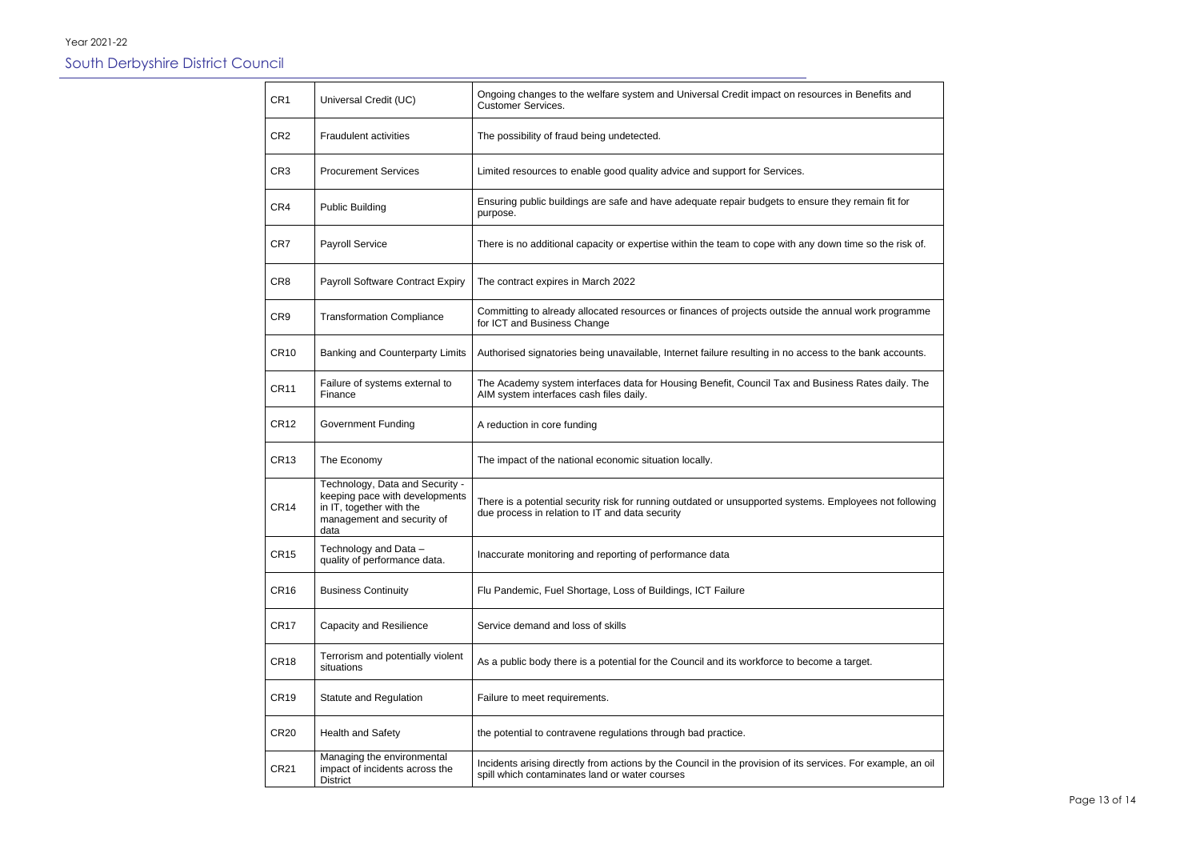| CR <sub>1</sub>  | Universal Credit (UC)                                                                                                               | Ongoing changes to the welfare system and Universal Credit impact on resources in Benefits and<br><b>Customer Services.</b>                                    |
|------------------|-------------------------------------------------------------------------------------------------------------------------------------|----------------------------------------------------------------------------------------------------------------------------------------------------------------|
| CR <sub>2</sub>  | <b>Fraudulent activities</b>                                                                                                        | The possibility of fraud being undetected.                                                                                                                     |
| CR <sub>3</sub>  | <b>Procurement Services</b>                                                                                                         | Limited resources to enable good quality advice and support for Services.                                                                                      |
| CR4              | <b>Public Building</b>                                                                                                              | Ensuring public buildings are safe and have adequate repair budgets to ensure they remain fit for<br>purpose.                                                  |
| CR7              | <b>Payroll Service</b>                                                                                                              | There is no additional capacity or expertise within the team to cope with any down time so the risk of.                                                        |
| CR <sub>8</sub>  | Payroll Software Contract Expiry                                                                                                    | The contract expires in March 2022                                                                                                                             |
| CR <sub>9</sub>  | <b>Transformation Compliance</b>                                                                                                    | Committing to already allocated resources or finances of projects outside the annual work programme<br>for ICT and Business Change                             |
| <b>CR10</b>      | Banking and Counterparty Limits                                                                                                     | Authorised signatories being unavailable, Internet failure resulting in no access to the bank accounts.                                                        |
| <b>CR11</b>      | Failure of systems external to<br>Finance                                                                                           | The Academy system interfaces data for Housing Benefit, Council Tax and Business Rates daily. The<br>AIM system interfaces cash files daily.                   |
| <b>CR12</b>      | <b>Government Funding</b>                                                                                                           | A reduction in core funding                                                                                                                                    |
| <b>CR13</b>      | The Economy                                                                                                                         | The impact of the national economic situation locally.                                                                                                         |
| CR <sub>14</sub> | Technology, Data and Security -<br>keeping pace with developments<br>in IT, together with the<br>management and security of<br>data | There is a potential security risk for running outdated or unsupported systems. Employees not following<br>due process in relation to IT and data security     |
| <b>CR15</b>      | Technology and Data -<br>quality of performance data.                                                                               | Inaccurate monitoring and reporting of performance data                                                                                                        |
| CR <sub>16</sub> | <b>Business Continuity</b>                                                                                                          | Flu Pandemic, Fuel Shortage, Loss of Buildings, ICT Failure                                                                                                    |
| <b>CR17</b>      | <b>Capacity and Resilience</b>                                                                                                      | Service demand and loss of skills                                                                                                                              |
| CR <sub>18</sub> | Terrorism and potentially violent<br>situations                                                                                     | As a public body there is a potential for the Council and its workforce to become a target.                                                                    |
| CR <sub>19</sub> | Statute and Regulation                                                                                                              | Failure to meet requirements.                                                                                                                                  |
| <b>CR20</b>      | Health and Safety                                                                                                                   | the potential to contravene regulations through bad practice.                                                                                                  |
| <b>CR21</b>      | Managing the environmental<br>impact of incidents across the<br><b>District</b>                                                     | Incidents arising directly from actions by the Council in the provision of its services. For example, an oil<br>spill which contaminates land or water courses |

| nd       |  |
|----------|--|
|          |  |
|          |  |
| or       |  |
| isk of.  |  |
|          |  |
| ramme    |  |
| ounts.   |  |
| y. The   |  |
|          |  |
|          |  |
| ollowing |  |
|          |  |
|          |  |
|          |  |
|          |  |
|          |  |
|          |  |
| C        |  |